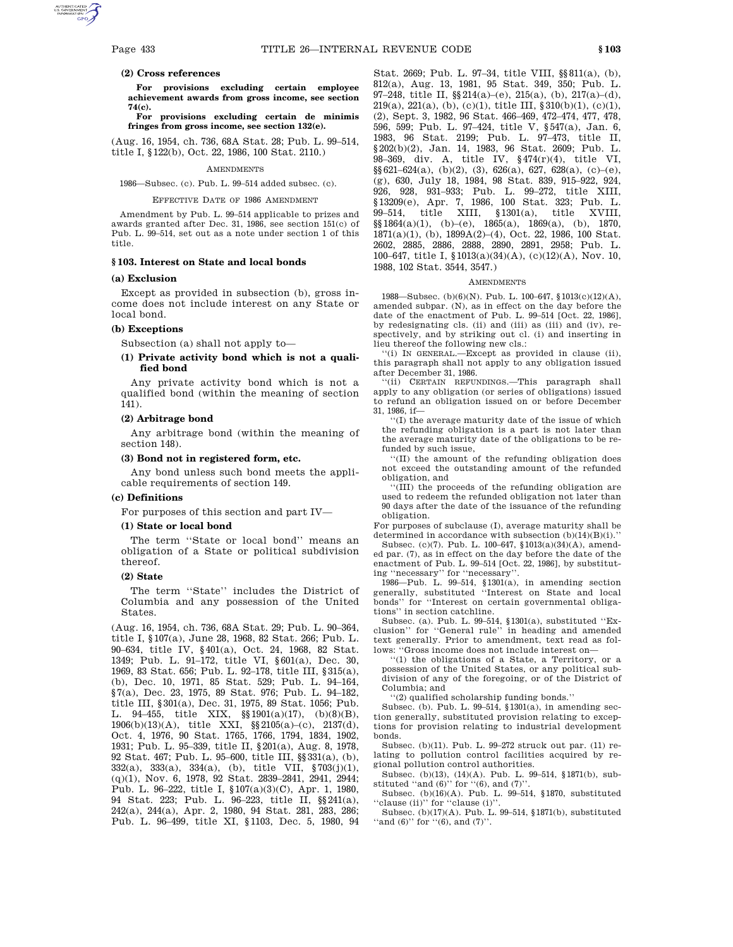# **(2) Cross references**

**For provisions excluding certain employee achievement awards from gross income, see section 74(c).**

# **For provisions excluding certain de minimis fringes from gross income, see section 132(e).**

(Aug. 16, 1954, ch. 736, 68A Stat. 28; Pub. L. 99–514, title I, §122(b), Oct. 22, 1986, 100 Stat. 2110.)

### **AMENDMENTS**

1986—Subsec. (c). Pub. L. 99–514 added subsec. (c).

#### EFFECTIVE DATE OF 1986 AMENDMENT

Amendment by Pub. L. 99–514 applicable to prizes and awards granted after Dec. 31, 1986, see section 151(c) of Pub. L. 99–514, set out as a note under section 1 of this title.

# **§ 103. Interest on State and local bonds**

#### **(a) Exclusion**

Except as provided in subsection (b), gross income does not include interest on any State or local bond.

# **(b) Exceptions**

Subsection (a) shall not apply to—

# **(1) Private activity bond which is not a qualified bond**

Any private activity bond which is not a qualified bond (within the meaning of section 141).

# **(2) Arbitrage bond**

Any arbitrage bond (within the meaning of section 148).

# **(3) Bond not in registered form, etc.**

Any bond unless such bond meets the applicable requirements of section 149.

### **(c) Definitions**

For purposes of this section and part IV—

# **(1) State or local bond**

The term ''State or local bond'' means an obligation of a State or political subdivision thereof.

### **(2) State**

The term ''State'' includes the District of Columbia and any possession of the United States.

(Aug. 16, 1954, ch. 736, 68A Stat. 29; Pub. L. 90–364, title I, §107(a), June 28, 1968, 82 Stat. 266; Pub. L. 90–634, title IV, §401(a), Oct. 24, 1968, 82 Stat. 1349; Pub. L. 91–172, title VI, §601(a), Dec. 30, 1969, 83 Stat. 656; Pub. L. 92–178, title III, §315(a), (b), Dec. 10, 1971, 85 Stat. 529; Pub. L. 94–164, §7(a), Dec. 23, 1975, 89 Stat. 976; Pub. L. 94–182, title III, §301(a), Dec. 31, 1975, 89 Stat. 1056; Pub. L. 94–455, title XIX, §§1901(a)(17), (b)(8)(B), 1906(b)(13)(A), title XXI, §§2105(a)–(c), 2137(d), Oct. 4, 1976, 90 Stat. 1765, 1766, 1794, 1834, 1902, 1931; Pub. L. 95–339, title II, §201(a), Aug. 8, 1978, 92 Stat. 467; Pub. L. 95–600, title III, §§331(a), (b), 332(a), 333(a), 334(a), (b), title VII, §703(j)(1), (q)(1), Nov. 6, 1978, 92 Stat. 2839–2841, 2941, 2944; Pub. L. 96–222, title I, §107(a)(3)(C), Apr. 1, 1980, 94 Stat. 223; Pub. L. 96–223, title II, §§241(a), 242(a), 244(a), Apr. 2, 1980, 94 Stat. 281, 283, 286; Pub. L. 96–499, title XI, §1103, Dec. 5, 1980, 94

Stat. 2669; Pub. L. 97–34, title VIII, §§811(a), (b), 812(a), Aug. 13, 1981, 95 Stat. 349, 350; Pub. L. 97–248, title II,  $\S 214(a)$ –(e), 215(a), (b), 217(a)–(d), 219(a), 221(a), (b), (c)(1), title III, §310(b)(1), (c)(1), (2), Sept. 3, 1982, 96 Stat. 466–469, 472–474, 477, 478, 596, 599; Pub. L. 97–424, title V, §547(a), Jan. 6, 1983, 96 Stat. 2199; Pub. L. 97–473, title II, §202(b)(2), Jan. 14, 1983, 96 Stat. 2609; Pub. L. 98–369, div. A, title IV, §474(r)(4), title VI,  $\S\S 621-624(a)$ , (b)(2), (3), 626(a), 627, 628(a), (c)-(e),  $(g)$ , 630, July 18, 1984, 98 Stat. 839, 915–922, 924, 926, 928, 931–933; Pub. L. 99–272, title XIII, §13209(e), Apr. 7, 1986, 100 Stat. 323; Pub. L. 99–514, title XIII, §1301(a), title XVIII,  $\S$ §1864(a)(1), (b)–(e), 1865(a), 1869(a), (b), 1870,  $1871(a)(1), (b), 1899A(2)–(4), Oct. 22, 1986, 100 Stat.\\$ 2602, 2885, 2886, 2888, 2890, 2891, 2958; Pub. L. 100–647, title I, §1013(a)(34)(A), (c)(12)(A), Nov. 10, 1988, 102 Stat. 3544, 3547.)

#### **AMENDMENTS**

1988—Subsec. (b)(6)(N). Pub. L. 100–647, §1013(c)(12)(A), amended subpar. (N), as in effect on the day before the date of the enactment of Pub. L. 99–514 [Oct. 22, 1986], by redesignating cls. (ii) and (iii) as (iii) and (iv), respectively, and by striking out cl. (i) and inserting in lieu thereof the following new cls.:

''(i) IN GENERAL.—Except as provided in clause (ii), this paragraph shall not apply to any obligation issued after December 31, 1986.

''(ii) CERTAIN REFUNDINGS.—This paragraph shall apply to any obligation (or series of obligations) issued to refund an obligation issued on or before December 31, 1986, if—

''(I) the average maturity date of the issue of which the refunding obligation is a part is not later than the average maturity date of the obligations to be refunded by such issue,

''(II) the amount of the refunding obligation does not exceed the outstanding amount of the refunded obligation, and

''(III) the proceeds of the refunding obligation are used to redeem the refunded obligation not later than 90 days after the date of the issuance of the refunding obligation.

For purposes of subclause (I), average maturity shall be determined in accordance with subsection  $(b)(14)(B)(i)$ .

Subsec. (c)(7). Pub. L. 100–647, §1013(a)(34)(A), amended par. (7), as in effect on the day before the date of the enactment of Pub. L. 99–514 [Oct. 22, 1986], by substituting ''necessary'' for ''necessary''.

1986—Pub. L. 99–514, §1301(a), in amending section generally, substituted ''Interest on State and local bonds'' for ''Interest on certain governmental obligations'' in section catchline.

Subsec. (a). Pub. L. 99–514, §1301(a), substituted ''Exclusion'' for ''General rule'' in heading and amended text generally. Prior to amendment, text read as follows: ''Gross income does not include interest on—

''(1) the obligations of a State, a Territory, or a possession of the United States, or any political subdivision of any of the foregoing, or of the District of Columbia; and

''(2) qualified scholarship funding bonds.''

Subsec. (b). Pub. L. 99–514, §1301(a), in amending section generally, substituted provision relating to exceptions for provision relating to industrial development bonds.

Subsec. (b)(11). Pub. L. 99–272 struck out par. (11) relating to pollution control facilities acquired by regional pollution control authorities.

Subsec. (b)(13), (14)(A). Pub. L. 99–514, §1871(b), substituted "and  $(6)$ " for " $(6)$ , and  $(7)$ ".

Subsec.  $(b)(16)(A)$ . Pub. L. 99-514, §1870, substituted ''clause (ii)'' for ''clause (i)''.

Subsec. (b)(17)(A). Pub. L. 99–514, §1871(b), substituted <code>''and (6)''</code> for ''(6), and (7)''.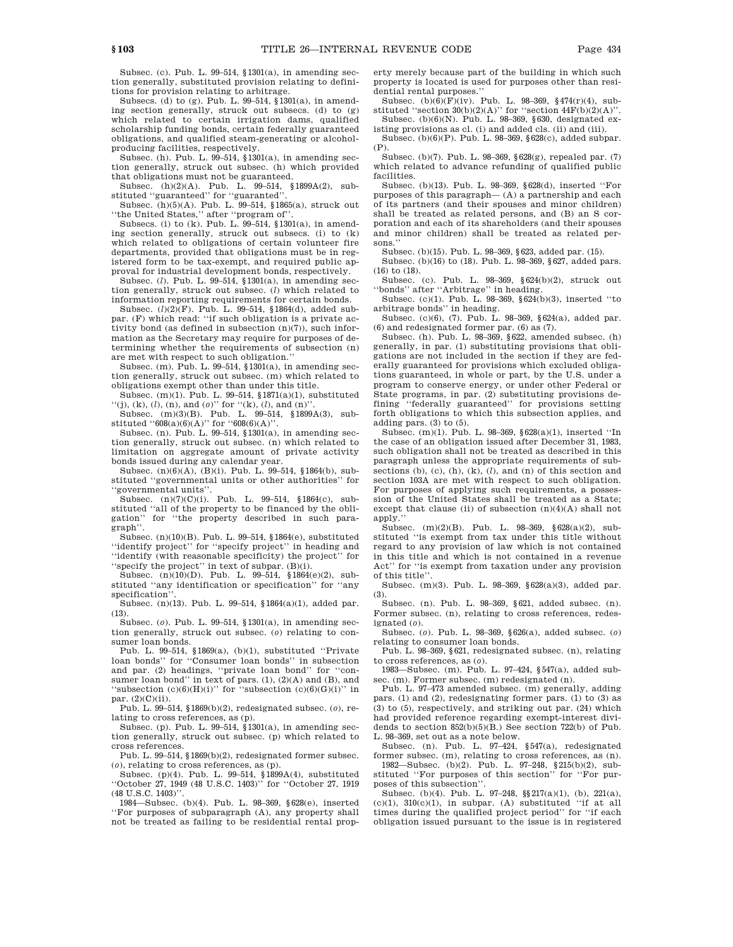Subsec. (c). Pub. L. 99–514, §1301(a), in amending section generally, substituted provision relating to definitions for provision relating to arbitrage.

Subsecs. (d) to (g). Pub. L. 99–514, §1301(a), in amending section generally, struck out subsecs. (d) to (g) which related to certain irrigation dams, qualified scholarship funding bonds, certain federally guaranteed obligations, and qualified steam-generating or alcoholproducing facilities, respectively.

Subsec. (h). Pub. L. 99–514, §1301(a), in amending section generally, struck out subsec. (h) which provided that obligations must not be guaranteed.

Subsec. (h)(2)(A). Pub. L. 99–514, §1899A(2), substituted ''guaranteed'' for ''guaranted''.

Subsec. (h)(5)(A). Pub. L. 99–514, §1865(a), struck out ''the United States,'' after ''program of''.

Subsecs. (i) to (k). Pub. L. 99–514, §1301(a), in amending section generally, struck out subsecs. (i) to (k) which related to obligations of certain volunteer fire departments, provided that obligations must be in registered form to be tax-exempt, and required public approval for industrial development bonds, respectively.

Subsec. (*l*). Pub. L. 99–514, §1301(a), in amending section generally, struck out subsec. (*l*) which related to information reporting requirements for certain bonds.

Subsec. (*l*)(2)(F). Pub. L. 99–514, §1864(d), added subpar. (F) which read: ''if such obligation is a private activity bond (as defined in subsection (n)(7)), such information as the Secretary may require for purposes of determining whether the requirements of subsection (n) are met with respect to such obligation.''

Subsec. (m). Pub. L. 99–514, §1301(a), in amending section generally, struck out subsec. (m) which related to obligations exempt other than under this title.

Subsec. (m)(1). Pub. L. 99–514, §1871(a)(1), substituted "(j), (k), (l), (n), and (o)" for "(k), (l), and (n)"

Subsec. (m)(3)(B). Pub. L. 99–514, §1899A(3), substituted  $"608(a)(6)(A)"$  for  $"608(6)(A)"$ .

Subsec. (n). Pub. L. 99–514,  $$1301(a)$ , in amending section generally, struck out subsec. (n) which related to limitation on aggregate amount of private activity bonds issued during any calendar year.

Subsec. (n)(6)(A), (B)(i). Pub. L. 99–514, §1864(b), substituted ''governmental units or other authorities'' for ''governmental units''.

Subsec.  $(n)(7)(C)(i)$ . Pub. L. 99–514, §1864(c), substituted "all of the property to be financed by the obligation'' for ''the property described in such paragraph''.

Subsec. (n)(10)(B). Pub. L. 99–514, §1864(e), substituted ''identify project'' for ''specify project'' in heading and ''identify (with reasonable specificity) the project'' for ''specify the project'' in text of subpar. (B)(i).

Subsec. (n)(10)(D). Pub. L. 99–514, §1864(e)(2), substituted ''any identification or specification'' for ''any specification''.

Subsec. (n)(13). Pub. L. 99–514, §1864(a)(1), added par. (13).

Subsec. (*o*). Pub. L. 99–514, §1301(a), in amending section generally, struck out subsec. (*o*) relating to consumer loan bonds.

Pub. L. 99–514, §1869(a), (b)(1), substituted ''Private loan bonds'' for ''Consumer loan bonds'' in subsection and par. (2) headings, ''private loan bond'' for ''consumer loan bond'' in text of pars. (1),  $(2)(A)$  and (B), and "subsection  $(c)(6)(H)(i)$ " for "subsection  $(c)(6)(G)(i)$ " in par. (2)(C)(ii).

Pub. L. 99–514, §1869(b)(2), redesignated subsec. (*o*), relating to cross references, as (p). Subsec. (p). Pub. L. 99–514, §1301(a), in amending sec-

tion generally, struck out subsec. (p) which related to cross references.

Pub. L. 99–514, §1869(b)(2), redesignated former subsec. (*o*), relating to cross references, as (p).

Subsec. (p)(4). Pub. L. 99–514, §1899A(4), substituted ''October 27, 1949 (48 U.S.C. 1403)'' for ''October 27, 1919 (48 U.S.C. 1403)''.

1984—Subsec. (b)(4). Pub. L. 98–369, §628(e), inserted ''For purposes of subparagraph (A), any property shall not be treated as failing to be residential rental property merely because part of the building in which such property is located is used for purposes other than residential rental purposes.''

Subsec. (b)(6)(F)(iv). Pub. L. 98–369, §474(r)(4), substituted "section  $30(b)(2)(A)$ " for "section  $44F(b)(2)(A)$ ". Subsec. (b)(6)(N). Pub. L. 98–369, §630, designated ex-

isting provisions as cl. (i) and added cls. (ii) and (iii). Subsec. (b)(6)(P). Pub. L. 98–369, §628(c), added subpar.

(P). Subsec. (b)(7). Pub. L. 98–369, §628(g), repealed par. (7) which related to advance refunding of qualified public

facilities. Subsec. (b)(13). Pub. L. 98–369, §628(d), inserted ''For purposes of this paragraph— (A) a partnership and each of its partners (and their spouses and minor children) shall be treated as related persons, and (B) an S corporation and each of its shareholders (and their spouses and minor children) shall be treated as related persons.''

Subsec. (b)(15). Pub. L. 98–369, §623, added par. (15).

Subsec. (b)(16) to (18). Pub. L. 98–369, §627, added pars. (16) to (18).

Subsec. (c). Pub. L. 98–369, §624(b)(2), struck out ''bonds'' after ''Arbitrage'' in heading.

Subsec. (c)(1). Pub. L. 98–369, §624(b)(3), inserted ''to arbitrage bonds'' in heading.

Subsec. (c)(6), (7). Pub. L. 98–369, §624(a), added par. (6) and redesignated former par. (6) as (7).

Subsec. (h). Pub. L. 98–369, §622, amended subsec. (h) generally, in par. (1) substituting provisions that obligations are not included in the section if they are federally guaranteed for provisions which excluded obligations guaranteed, in whole or part, by the U.S. under a program to conserve energy, or under other Federal or State programs, in par. (2) substituting provisions defining ''federally guaranteed'' for provisions setting forth obligations to which this subsection applies, and adding pars. (3) to (5).

Subsec. (m)(1). Pub. L. 98–369, §628(a)(1), inserted ''In the case of an obligation issued after December 31, 1983, such obligation shall not be treated as described in this paragraph unless the appropriate requirements of subsections (b), (c), (h), (k), (*l*), and (n) of this section and section 103A are met with respect to such obligation. For purposes of applying such requirements, a possession of the United States shall be treated as a State; except that clause (ii) of subsection (n)(4)(A) shall not apply.'

Subsec.  $(m)(2)(B)$ . Pub. L. 98-369, §628(a)(2), substituted ''is exempt from tax under this title without regard to any provision of law which is not contained in this title and which is not contained in a revenue Act'' for ''is exempt from taxation under any provision of this title''.

Subsec. (m)(3). Pub. L. 98–369, §628(a)(3), added par. (3).

Subsec. (n). Pub. L. 98–369, §621, added subsec. (n). Former subsec. (n), relating to cross references, redesignated (*o*).

Subsec. (*o*). Pub. L. 98–369, §626(a), added subsec. (*o*) relating to consumer loan bonds.

Pub. L. 98–369, §621, redesignated subsec. (n), relating

to cross references, as (*o*). 1983—Subsec. (m). Pub. L. 97–424, §547(a), added subsec. (m). Former subsec. (m) redesignated (n).

Pub. L. 97–473 amended subsec. (m) generally, adding pars. (1) and (2), redesignating former pars. (1) to (3) as (3) to (5), respectively, and striking out par. (24) which had provided reference regarding exempt-interest dividends to section 852(b)(5)(B.) See section 722(b) of Pub. L. 98–369, set out as a note below.

Subsec. (n). Pub. L. 97–424, §547(a), redesignated former subsec. (m), relating to cross references, as (n).

1982—Subsec. (b)(2). Pub. L. 97–248, §215(b)(2), substituted ''For purposes of this section'' for ''For purposes of this subsection''.

Subsec. (b)(4). Pub. L. 97-248,  $\S$ 217(a)(1), (b), 221(a),  $(c)(1)$ ,  $310(c)(1)$ , in subpar. (A) substituted "if at all times during the qualified project period'' for ''if each obligation issued pursuant to the issue is in registered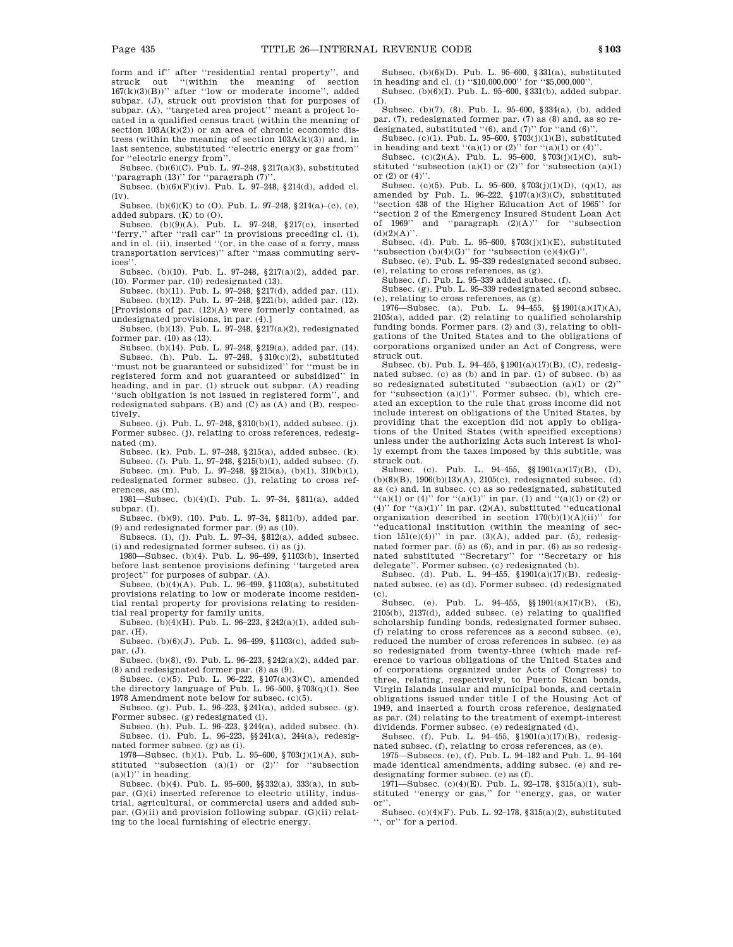form and if'' after ''residential rental property'', and struck out ''(within the meaning of section  $167(k)(3)(B)$ " after "low or moderate income", added subpar. (J), struck out provision that for purposes of subpar. (A), ''targeted area project'' meant a project located in a qualified census tract (within the meaning of section  $103A(k)(2)$  or an area of chronic economic distress (within the meaning of section  $103A(k)(3)$ ) and, in last sentence, substituted ''electric energy or gas from'' for ''electric energy from''.

Subsec.  $(b)(6)(C)$ . Pub. L. 97–248, §217(a)(3), substituted "paragraph (13)" for "paragraph (7)"

Subsec.  $(b)(6)(F)(iv)$ . Pub. L. 97–248, §214(d), added cl. (iv).

Subsec. (b)(6)(K) to (O). Pub. L. 97–248, §214(a)–(c), (e), added subpars. (K) to (O).

Subsec. (b)(9)(A). Pub. L. 97–248, §217(c), inserted ''ferry,'' after ''rail car'' in provisions preceding cl. (i), and in cl. (ii), inserted ''(or, in the case of a ferry, mass transportation services)'' after ''mass commuting services''.

Subsec. (b)(10). Pub. L. 97–248, §217(a)(2), added par.  $(10)$ . Former par.  $(10)$  redesignated  $(13)$ .

Subsec. (b)(11). Pub. L. 97–248, §217(d), added par. (11). Subsec. (b)(12). Pub. L. 97–248, §221(b), added par. (12). [Provisions of par. (12)(A) were formerly contained, as undesignated provisions, in par. (4).]

Subsec. (b)(13). Pub. L. 97–248,  $\S 217(a)(2)$ , redesignated former par. (10) as (13).

Subsec. (b)(14). Pub. L. 97–248, §219(a), added par. (14). Subsec. (h). Pub. L.  $97-248$ ,  $$310(c)(2)$ , substituted ''must not be guaranteed or subsidized'' for ''must be in registered form and not guaranteed or subsidized'' in heading, and in par. (1) struck out subpar. (A) reading ''such obligation is not issued in registered form'', and redesignated subpars. (B) and (C) as (A) and (B), respectively.

Subsec. (j). Pub. L. 97–248, §310(b)(1), added subsec. (j). Former subsec. (j), relating to cross references, redesignated (m).

Subsec. (k). Pub. L. 97–248, §215(a), added subsec. (k). Subsec. (*l*). Pub. L. 97–248, §215(b)(1), added subsec. (*l*). Subsec. (m). Pub. L. 97–248, §§215(a), (b)(1), 310(b)(1), redesignated former subsec. (j), relating to cross references, as (m).

1981—Subsec. (b)(4)(I). Pub. L. 97–34, §811(a), added subpar. (I).

Subsec. (b)(9), (10). Pub. L. 97–34, §811(b), added par. (9) and redesignated former par. (9) as (10).

Subsecs. (i), (j). Pub. L. 97–34, §812(a), added subsec. (i) and redesignated former subsec. (i) as (j).

1980—Subsec. (b)(4). Pub. L. 96–499, §1103(b), inserted before last sentence provisions defining ''targeted area project'' for purposes of subpar. (A).

Subsec.  $(b)(4)(A)$ . Pub. L. 96–499, §1103(a), substituted provisions relating to low or moderate income residential rental property for provisions relating to residential real property for family units.

Subsec. (b)(4)(H). Pub. L. 96–223, §242(a)(1), added subpar. (H).

Subsec. (b)(6)(J). Pub. L. 96–499, §1103(c), added subpar. (J).

Subsec. (b)(8), (9). Pub. L. 96–223, §242(a)(2), added par. (8) and redesignated former par. (8) as (9).

Subsec. (c)(5). Pub. L. 96-222, §107(a)(3)(C), amended the directory language of Pub. L. 96–500, §703(q)(1). See 1978 Amendment note below for subsec. (c)(5).

Subsec. (g). Pub. L. 96–223, §241(a), added subsec. (g). Former subsec. (g) redesignated (i).

Subsec. (h). Pub. L. 96–223, §244(a), added subsec. (h). Subsec. (i). Pub. L. 96–223, §§241(a), 244(a), redesignated former subsec. (g) as (i).

1978—Subsec. (b)(1). Pub. L. 95–600, §703(j)(1)(A), substituted "subsection  $(a)(1)$  or  $(2)$ " for "subsection  $(a)(1)$ " in heading.

Subsec. (b)(4). Pub. L. 95–600, §§332(a), 333(a), in subpar. (G)(i) inserted reference to electric utility, industrial, agricultural, or commercial users and added subpar.  $(G)(ii)$  and provision following subpar.  $(G)(ii)$  relating to the local furnishing of electric energy.

Subsec. (b)(6)(D). Pub. L. 95–600, §331(a), substituted in heading and cl. (i) "\$10,000,000" for "\$5,000,000"

Subsec. (b)(6)(I). Pub. L. 95–600, §331(b), added subpar. (I).

Subsec. (b)(7), (8). Pub. L. 95–600, §334(a), (b), added par. (7), redesignated former par. (7) as (8) and, as so redesignated, substituted ''(6), and (7)'' for ''and (6)''.

Subsec. (c)(1). Pub. L. 95–600, §703(j)(1)(B), substituted in heading and text "(a)(1) or (2)" for "(a)(1) or (4)".

Subsec. (c)(2)(A). Pub. L. 95–600,  $\sqrt{703(j)(1)(C)}$ , substituted "subsection  $(a)(1)$  or  $(2)$ " for "subsection  $(a)(1)$ or  $(2)$  or  $(4)$ "

Subsec. (c)(5). Pub. L. 95–600, §703(j)(1)(D), (q)(1), as amended by Pub. L. 96-222,  $$107(a)(3)(C)$ , substituted ''section 438 of the Higher Education Act of 1965'' for ''section 2 of the Emergency Insured Student Loan Act of 1969'' and ''paragraph (2)(A)'' for ''subsection  $(d)(2)(A)$ ".

Subsec. (d). Pub. L. 95–600, §703(j)(1)(E), substituted "subsection  $(b)(4)(G)$ " for "subsection  $(c)(4)(G)$ ".

Subsec. (e). Pub. L. 95–339 redesignated second subsec. (e), relating to cross references, as (g).

Subsec. (f). Pub. L. 95–339 added subsec. (f).

Subsec. (g). Pub. L. 95–339 redesignated second subsec. (e), relating to cross references, as (g).

1976—Subsec. (a). Pub. L. 94–455, §§1901(a)(17)(A), 2105(a), added par. (2) relating to qualified scholarship funding bonds. Former pars. (2) and (3), relating to obligations of the United States and to the obligations of corporations organized under an Act of Congress, were struck out.

Subsec. (b). Pub. L. 94–455, §1901(a)(17)(B), (C), redesignated subsec. (c) as (b) and in par. (1) of subsec. (b) as so redesignated substituted "subsection  $(a)(1)$  or  $(2)$ " for "subsection  $(a)(1)$ ". Former subsec. (b), which created an exception to the rule that gross income did not include interest on obligations of the United States, by providing that the exception did not apply to obligations of the United States (with specified exceptions) unless under the authorizing Acts such interest is wholly exempt from the taxes imposed by this subtitle, was struck out.

Subsec. (c). Pub. L. 94–455, §§1901(a)(17)(B), (D), (b)(8)(B), 1906(b)(13)(A), 2105(c), redesignated subsec. (d) as (c) and, in subsec. (c) as so redesignated, substituted  $((a)(1)$  or  $(4)$ " for  $((a)(1)$ " in par. (1) and  $((a)(1)$  or (2) or (4)" for  $((a)(1))$ " in par.  $(2)(A)$ , substituted "educational" organization described in section  $170(b)(1)(A)(ii)$ " for ''educational institution (within the meaning of section  $151(e)(4)$ )'' in par. (3)(A), added par. (5), redesignated former par. (5) as (6), and in par. (6) as so redesignated substituted ''Secretary'' for ''Secretary or his delegate''. Former subsec. (c) redesignated (b).

Subsec. (d). Pub. L. 94–455, §1901(a)(17)(B), redesignated subsec. (e) as (d). Former subsec. (d) redesignated

(c). (e). Pub. L. 94–455,  $\S(1901(a)(17)(B), (E),$  $2105(b)$ ,  $2137(d)$ , added subsec. (e) relating to qualified scholarship funding bonds, redesignated former subsec. (f) relating to cross references as a second subsec. (e), reduced the number of cross references in subsec. (e) as so redesignated from twenty-three (which made reference to various obligations of the United States and of corporations organized under Acts of Congress) to three, relating, respectively, to Puerto Rican bonds, Virgin Islands insular and municipal bonds, and certain obligations issued under title I of the Housing Act of 1949, and inserted a fourth cross reference, designated as par. (24) relating to the treatment of exempt-interest dividends. Former subsec. (e) redesignated (d).

Subsec. (f). Pub. L. 94–455, §1901(a)(17)(B), redesignated subsec. (f), relating to cross references, as (e).

1975—Subsecs. (e), (f). Pub. L. 94–182 and Pub. L. 94–164 made identical amendments, adding subsec. (e) and redesignating former subsec. (e) as (f).

1971—Subsec. (c)(4)(E). Pub. L. 92–178, §315(a)(1), substituted ''energy or gas,'' for ''energy, gas, or water or''.

Subsec. (c)(4)(F). Pub. L. 92–178, §315(a)(2), substituted '', or'' for a period.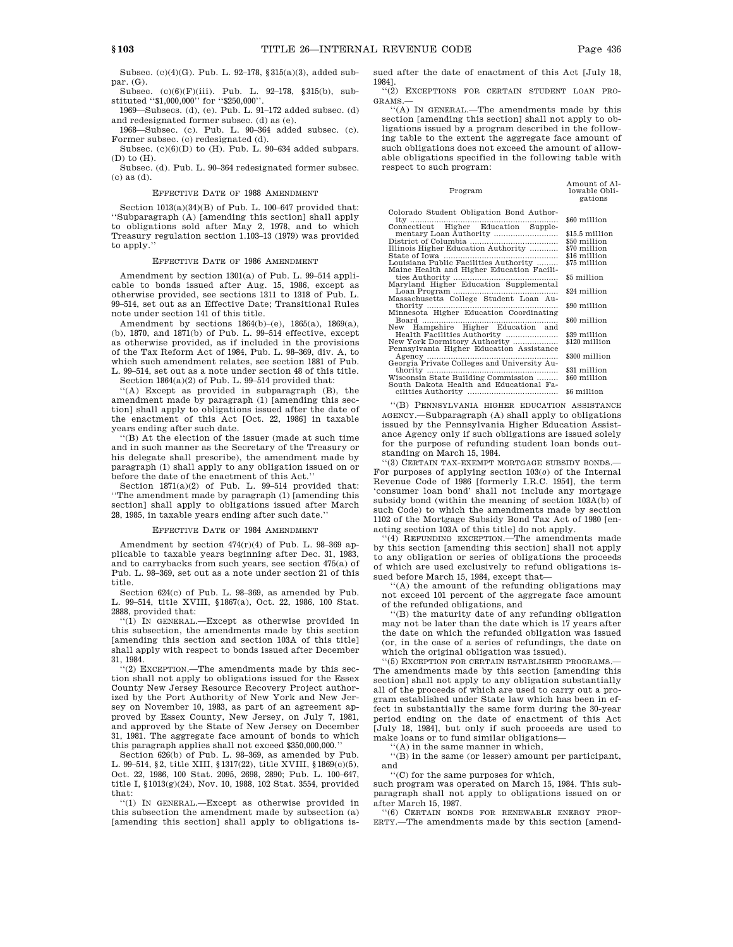Amount of Al-

Subsec. (c)(4)(G). Pub. L. 92–178, §315(a)(3), added subpar. (G).

Subsec. (c)(6)(F)(iii). Pub. L. 92–178, §315(b), substituted ''\$1,000,000'' for ''\$250,000''.

1969—Subsecs. (d), (e). Pub. L. 91–172 added subsec. (d) and redesignated former subsec. (d) as (e).

1968—Subsec. (c). Pub. L. 90–364 added subsec. (c). Former subsec. (c) redesignated (d).

Subsec.  $(c)(6)(D)$  to  $(H)$ . Pub. L. 90–634 added subpars. (D) to (H).

Subsec. (d). Pub. L. 90–364 redesignated former subsec. (c) as (d).

#### EFFECTIVE DATE OF 1988 AMENDMENT

Section 1013(a)(34)(B) of Pub. L. 100–647 provided that: ''Subparagraph (A) [amending this section] shall apply to obligations sold after May 2, 1978, and to which Treasury regulation section 1.103–13 (1979) was provided to apply.

# EFFECTIVE DATE OF 1986 AMENDMENT

Amendment by section 1301(a) of Pub. L. 99–514 applicable to bonds issued after Aug. 15, 1986, except as otherwise provided, see sections 1311 to 1318 of Pub. L. 99–514, set out as an Effective Date; Transitional Rules note under section 141 of this title.

Amendment by sections 1864(b)–(e), 1865(a), 1869(a), (b), 1870, and 1871(b) of Pub. L. 99–514 effective, except as otherwise provided, as if included in the provisions of the Tax Reform Act of 1984, Pub. L. 98–369, div. A, to which such amendment relates, see section 1881 of Pub. L. 99–514, set out as a note under section 48 of this title.

Section  $1864(a)(2)$  of Pub. L.  $99\text{--}514$  provided that:

''(A) Except as provided in subparagraph (B), the amendment made by paragraph (1) [amending this section] shall apply to obligations issued after the date of the enactment of this Act [Oct. 22, 1986] in taxable years ending after such date.

''(B) At the election of the issuer (made at such time and in such manner as the Secretary of the Treasury or his delegate shall prescribe), the amendment made by paragraph (1) shall apply to any obligation issued on or before the date of the enactment of this Act.''

Section 1871(a)(2) of Pub. L. 99–514 provided that: ''The amendment made by paragraph (1) [amending this section] shall apply to obligations issued after March 28, 1985, in taxable years ending after such date.''

# EFFECTIVE DATE OF 1984 AMENDMENT

Amendment by section  $474(r)(4)$  of Pub. L. 98-369 ap plicable to taxable years beginning after Dec. 31, 1983, and to carrybacks from such years, see section 475(a) of Pub. L. 98–369, set out as a note under section 21 of this title.

Section 624(c) of Pub. L. 98–369, as amended by Pub. L. 99–514, title XVIII, §1867(a), Oct. 22, 1986, 100 Stat. 2888, provided that:

''(1) IN GENERAL.—Except as otherwise provided in this subsection, the amendments made by this section [amending this section and section 103A of this title] shall apply with respect to bonds issued after December 31, 1984.

 $(2)$  EXCEPTION.—The amendments made by this section shall not apply to obligations issued for the Essex County New Jersey Resource Recovery Project authorized by the Port Authority of New York and New Jersey on November 10, 1983, as part of an agreement approved by Essex County, New Jersey, on July 7, 1981, and approved by the State of New Jersey on December 31, 1981. The aggregate face amount of bonds to which this paragraph applies shall not exceed \$350,000,000.''

Section 626(b) of Pub. L. 98–369, as amended by Pub. L. 99–514, §2, title XIII, §1317(22), title XVIII, §1869(c)(5), Oct. 22, 1986, 100 Stat. 2095, 2698, 2890; Pub. L. 100–647, title I, §1013(g)(24), Nov. 10, 1988, 102 Stat. 3554, provided that:

''(1) IN GENERAL.—Except as otherwise provided in this subsection the amendment made by subsection (a) [amending this section] shall apply to obligations issued after the date of enactment of this Act [July 18, 1984].

''(2) EXCEPTIONS FOR CERTAIN STUDENT LOAN PRO-GRAMS.—

''(A) IN GENERAL.—The amendments made by this section [amending this section] shall not apply to obligations issued by a program described in the following table to the extent the aggregate face amount of such obligations does not exceed the amount of allowable obligations specified in the following table with respect to such program:

| Program                                                                        | lowable Obli-<br>gations |
|--------------------------------------------------------------------------------|--------------------------|
| Colorado Student Obligation Bond Author-                                       |                          |
|                                                                                | \$60 million             |
|                                                                                | \$15.5 million           |
|                                                                                | \$50 million             |
| Illinois Higher Education Authority                                            | \$70 million             |
|                                                                                | \$16 million             |
| Louisiana Public Facilities Authority                                          | \$75 million             |
| Maine Health and Higher Education Facili-                                      |                          |
|                                                                                | \$5 million              |
| Maryland Higher Education Supplemental                                         |                          |
| Massachusetts College Student Loan Au-                                         | \$24 million             |
|                                                                                | \$90 million             |
| Minnesota Higher Education Coordinating                                        |                          |
|                                                                                | \$60 million             |
| New Hampshire Higher Education and                                             |                          |
| Health Facilities Authority                                                    | \$39 million             |
| New York Dormitory Authority                                                   | \$120 million            |
| Pennsylvania Higher Education Assistance                                       |                          |
|                                                                                | \$300 million            |
| Georgia Private Colleges and University Au-                                    |                          |
|                                                                                | \$31 million             |
| Wisconsin State Building Commission<br>South Dakota Health and Educational Fa- | \$60 million             |
|                                                                                | \$6 million              |
|                                                                                |                          |

''(B) PENNSYLVANIA HIGHER EDUCATION ASSISTANCE AGENCY.—Subparagraph (A) shall apply to obligations issued by the Pennsylvania Higher Education Assistance Agency only if such obligations are issued solely for the purpose of refunding student loan bonds outstanding on March 15, 1984.

''(3) CERTAIN TAX-EXEMPT MORTGAGE SUBSIDY BONDS.— For purposes of applying section 103(*o*) of the Internal Revenue Code of 1986 [formerly I.R.C. 1954], the term 'consumer loan bond' shall not include any mortgage subsidy bond (within the meaning of section 103A(b) of such Code) to which the amendments made by section 1102 of the Mortgage Subsidy Bond Tax Act of 1980 [enacting section 103A of this title] do not apply.

''(4) REFUNDING EXCEPTION.—The amendments made by this section [amending this section] shall not apply to any obligation or series of obligations the proceeds of which are used exclusively to refund obligations issued before March 15, 1984, except that—

''(A) the amount of the refunding obligations may not exceed 101 percent of the aggregate face amount of the refunded obligations, and

''(B) the maturity date of any refunding obligation may not be later than the date which is 17 years after the date on which the refunded obligation was issued (or, in the case of a series of refundings, the date on which the original obligation was issued).

''(5) EXCEPTION FOR CERTAIN ESTABLISHED PROGRAMS.— The amendments made by this section [amending this section] shall not apply to any obligation substantially all of the proceeds of which are used to carry out a program established under State law which has been in effect in substantially the same form during the 30-year period ending on the date of enactment of this Act [July 18, 1984], but only if such proceeds are used to make loans or to fund similar obligations—

''(A) in the same manner in which,

''(B) in the same (or lesser) amount per participant, and

''(C) for the same purposes for which,

such program was operated on March 15, 1984. This subparagraph shall not apply to obligations issued on or after March 15, 1987.

''(6) CERTAIN BONDS FOR RENEWABLE ENERGY PROP-ERTY.—The amendments made by this section [amend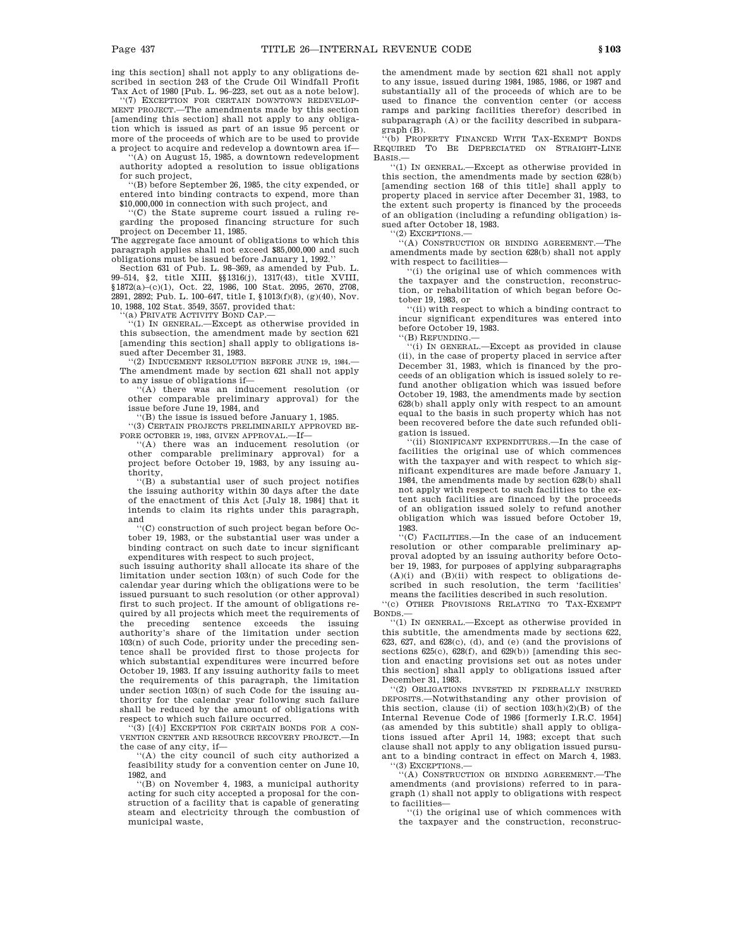ing this section] shall not apply to any obligations described in section 243 of the Crude Oil Windfall Profit Tax Act of 1980 [Pub. L. 96–223, set out as a note below].

''(7) EXCEPTION FOR CERTAIN DOWNTOWN REDEVELOP-MENT PROJECT.—The amendments made by this section [amending this section] shall not apply to any obligation which is issued as part of an issue 95 percent or more of the proceeds of which are to be used to provide a project to acquire and redevelop a downtown area if—

''(A) on August 15, 1985, a downtown redevelopment authority adopted a resolution to issue obligations for such project,

''(B) before September 26, 1985, the city expended, or entered into binding contracts to expend, more than \$10,000,000 in connection with such project, and

''(C) the State supreme court issued a ruling regarding the proposed financing structure for such

project on December 11, 1985. The aggregate face amount of obligations to which this paragraph applies shall not exceed \$85,000,000 and such obligations must be issued before January 1, 1992.

Section 631 of Pub. L. 98–369, as amended by Pub. L. 99–514, §2, title XIII, §§1316(j), 1317(43), title XVIII, §1872(a)–(c)(1), Oct. 22, 1986, 100 Stat. 2095, 2670, 2708, 2891, 2892; Pub. L. 100–647, title I, §1013(f)(8), (g)(40), Nov. 10, 1988, 102 Stat. 3549, 3557, provided that:

'(a) PRIVATE ACTIVITY BOND CAP.-

''(1) IN GENERAL.—Except as otherwise provided in this subsection, the amendment made by section 621 [amending this section] shall apply to obligations issued after December 31, 1983.

'(2) INDUCEMENT RESOLUTION BEFORE JUNE 19, 1984. The amendment made by section 621 shall not apply to any issue of obligations if—

 $(A)$  there was an inducement resolution (or other comparable preliminary approval) for the issue before June 19, 1984, and

(B) the issue is issued before January 1, 1985. ''(3) CERTAIN PROJECTS PRELIMINARILY APPROVED BE-FORE OCTOBER 19, 1983, GIVEN APPROVAL.—If—

''(A) there was an inducement resolution (or other comparable preliminary approval) for a project before October 19, 1983, by any issuing authority,

''(B) a substantial user of such project notifies the issuing authority within 30 days after the date of the enactment of this Act [July 18, 1984] that it intends to claim its rights under this paragraph, and

''(C) construction of such project began before October 19, 1983, or the substantial user was under a binding contract on such date to incur significant

expenditures with respect to such project, such issuing authority shall allocate its share of the limitation under section 103(n) of such Code for the calendar year during which the obligations were to be issued pursuant to such resolution (or other approval) first to such project. If the amount of obligations required by all projects which meet the requirements of the preceding sentence exceeds the issuing authority's share of the limitation under section 103(n) of such Code, priority under the preceding sentence shall be provided first to those projects for which substantial expenditures were incurred before October 19, 1983. If any issuing authority fails to meet the requirements of this paragraph, the limitation under section 103(n) of such Code for the issuing authority for the calendar year following such failure shall be reduced by the amount of obligations with respect to which such failure occurred.

''(3) [(4)] EXCEPTION FOR CERTAIN BONDS FOR A CON-VENTION CENTER AND RESOURCE RECOVERY PROJECT.—In the case of any city, if—

''(A) the city council of such city authorized a feasibility study for a convention center on June 10, 1982, and

''(B) on November 4, 1983, a municipal authority acting for such city accepted a proposal for the construction of a facility that is capable of generating steam and electricity through the combustion of municipal waste,

the amendment made by section 621 shall not apply to any issue, issued during 1984, 1985, 1986, or 1987 and substantially all of the proceeds of which are to be used to finance the convention center (or access ramps and parking facilities therefor) described in subparagraph (A) or the facility described in subparagraph (B).

'(b) PROPERTY FINANCED WITH TAX-EXEMPT BONDS REQUIRED TO BE DEPRECIATED ON STRAIGHT-LINE BASIS.—

''(1) IN GENERAL.—Except as otherwise provided in this section, the amendments made by section 628(b) [amending section 168 of this title] shall apply to property placed in service after December 31, 1983, to the extent such property is financed by the proceeds of an obligation (including a refunding obligation) issued after October 18, 1983.

'(2) EXCEPTIONS.

''(A) CONSTRUCTION OR BINDING AGREEMENT.—The amendments made by section 628(b) shall not apply with respect to facilities—

''(i) the original use of which commences with the taxpayer and the construction, reconstruction, or rehabilitation of which began before October 19, 1983, or

''(ii) with respect to which a binding contract to incur significant expenditures was entered into before October 19, 1983.

''(B) REFUNDING.—

''(i) IN GENERAL.—Except as provided in clause (ii), in the case of property placed in service after December 31, 1983, which is financed by the proceeds of an obligation which is issued solely to refund another obligation which was issued before October 19, 1983, the amendments made by section 628(b) shall apply only with respect to an amount equal to the basis in such property which has not been recovered before the date such refunded obligation is issued.

''(ii) SIGNIFICANT EXPENDITURES.—In the case of facilities the original use of which commences with the taxpayer and with respect to which significant expenditures are made before January 1, 1984, the amendments made by section 628(b) shall not apply with respect to such facilities to the extent such facilities are financed by the proceeds of an obligation issued solely to refund another obligation which was issued before October 19, 1983.

''(C) FACILITIES.—In the case of an inducement resolution or other comparable preliminary approval adopted by an issuing authority before October 19, 1983, for purposes of applying subparagraphs  $(A)(i)$  and  $(B)(ii)$  with respect to obligations described in such resolution, the term 'facilities' means the facilities described in such resolution.

''(c) OTHER PROVISIONS RELATING TO TAX-EXEMPT BONDS.—

''(1) IN GENERAL.—Except as otherwise provided in this subtitle, the amendments made by sections 622, 623, 627, and 628(c), (d), and (e) (and the provisions of sections 625(c), 628(f), and 629(b)) [amending this section and enacting provisions set out as notes under this section] shall apply to obligations issued after December 31, 1983.

''(2) OBLIGATIONS INVESTED IN FEDERALLY INSURED DEPOSITS.—Notwithstanding any other provision of this section, clause (ii) of section  $103(h)(2)(B)$  of the Internal Revenue Code of 1986 [formerly I.R.C. 1954] (as amended by this subtitle) shall apply to obligations issued after April 14, 1983; except that such clause shall not apply to any obligation issued pursuant to a binding contract in effect on March 4, 1983. '(3) EXCEPTIONS

''(A) CONSTRUCTION OR BINDING AGREEMENT.—The amendments (and provisions) referred to in paragraph (1) shall not apply to obligations with respect

to facilities— ''(i) the original use of which commences with the taxpayer and the construction, reconstruc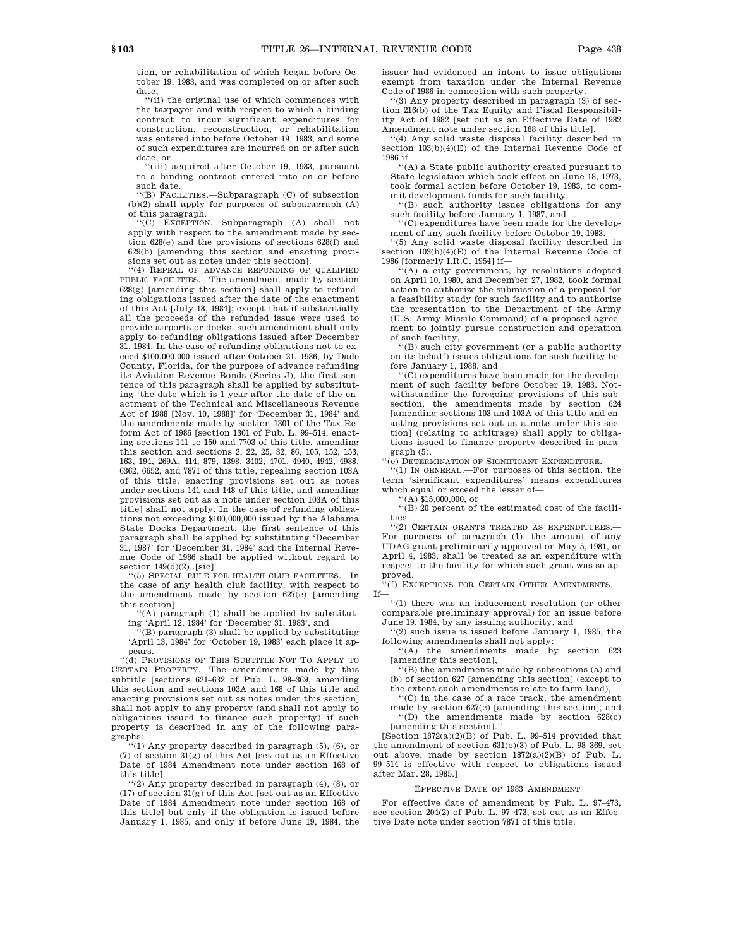tion, or rehabilitation of which began before October 19, 1983, and was completed on or after such date,

''(ii) the original use of which commences with the taxpayer and with respect to which a binding contract to incur significant expenditures for construction, reconstruction, or rehabilitation was entered into before October 19, 1983, and some of such expenditures are incurred on or after such date, or

''(iii) acquired after October 19, 1983, pursuant to a binding contract entered into on or before such date.

''(B) FACILITIES.—Subparagraph (C) of subsection (b)(2) shall apply for purposes of subparagraph (A) of this paragraph.

''(C) EXCEPTION.—Subparagraph (A) shall not apply with respect to the amendment made by section 628(e) and the provisions of sections 628(f) and 629(b) [amending this section and enacting provisions set out as notes under this section].

''(4) REPEAL OF ADVANCE REFUNDING OF QUALIFIED PUBLIC FACILITIES.—The amendment made by section 628(g) [amending this section] shall apply to refunding obligations issued after the date of the enactment of this Act [July 18, 1984]; except that if substantially all the proceeds of the refunded issue were used to provide airports or docks, such amendment shall only apply to refunding obligations issued after December 31, 1984. In the case of refunding obligations not to exceed \$100,000,000 issued after October 21, 1986, by Dade County, Florida, for the purpose of advance refunding its Aviation Revenue Bonds (Series J), the first sentence of this paragraph shall be applied by substituting 'the date which is 1 year after the date of the enactment of the Technical and Miscellaneous Revenue Act of 1988 [Nov. 10, 1988]' for 'December 31, 1984' and the amendments made by section 1301 of the Tax Reform Act of 1986 [section 1301 of Pub. L. 99–514, enacting sections 141 to 150 and 7703 of this title, amending this section and sections 2, 22, 25, 32, 86, 105, 152, 153, 163, 194, 269A, 414, 879, 1398, 3402, 4701, 4940, 4942, 4988, 6362, 6652, and 7871 of this title, repealing section 103A of this title, enacting provisions set out as notes under sections 141 and 148 of this title, and amending provisions set out as a note under section 103A of this title] shall not apply. In the case of refunding obligations not exceeding \$100,000,000 issued by the Alabama State Docks Department, the first sentence of this paragraph shall be applied by substituting 'December 31, 1987' for 'December 31, 1984' and the Internal Revenue Code of 1986 shall be applied without regard to section  $149(d)(2)$ ..[sic]

''(5) SPECIAL RULE FOR HEALTH CLUB FACILITIES.—In the case of any health club facility, with respect to the amendment made by section 627(c) [amending this section]—

''(A) paragraph (1) shall be applied by substitut-

ing 'April 12, 1984' for 'December 31, 1983', and ''(B) paragraph (3) shall be applied by substituting 'April 13, 1984' for 'October 19, 1983' each place it appears.

''(d) PROVISIONS OF THIS SUBTITLE NOT TO APPLY TO CERTAIN PROPERTY.—The amendments made by this subtitle [sections 621–632 of Pub. L. 98–369, amending this section and sections 103A and 168 of this title and enacting provisions set out as notes under this section] shall not apply to any property (and shall not apply to obligations issued to finance such property) if such property is described in any of the following paragraphs:

''(1) Any property described in paragraph (5), (6), or (7) of section 31(g) of this Act [set out as an Effective Date of 1984 Amendment note under section 168 of this title].

''(2) Any property described in paragraph (4), (8), or  $(17)$  of section  $31(g)$  of this Act [set out as an Effective Date of 1984 Amendment note under section 168 of this title] but only if the obligation is issued before January 1, 1985, and only if before June 19, 1984, the issuer had evidenced an intent to issue obligations exempt from taxation under the Internal Revenue Code of 1986 in connection with such property.

''(3) Any property described in paragraph (3) of section 216(b) of the Tax Equity and Fiscal Responsibility Act of 1982 [set out as an Effective Date of 1982 Amendment note under section 168 of this title].

'(4) Any solid waste disposal facility described in section 103(b)(4)(E) of the Internal Revenue Code of 1986 if—

''(A) a State public authority created pursuant to State legislation which took effect on June 18, 1973, took formal action before October 19, 1983, to commit development funds for such facility.

''(B) such authority issues obligations for any such facility before January 1, 1987, and

''(C) expenditures have been made for the development of any such facility before October 19, 1983.

''(5) Any solid waste disposal facility described in section 103(b)(4)(E) of the Internal Revenue Code of 1986 [formerly I.R.C. 1954] if—

 $f(A)$  a city government, by resolutions adopted on April 10, 1980, and December 27, 1982, took formal action to authorize the submission of a proposal for a feasibility study for such facility and to authorize the presentation to the Department of the Army (U.S. Army Missile Command) of a proposed agreement to jointly pursue construction and operation of such facility,

'(B) such city government (or a public authority on its behalf) issues obligations for such facility before January 1, 1988, and

''(C) expenditures have been made for the development of such facility before October 19, 1983. Notwithstanding the foregoing provisions of this subsection, the amendments made by section 624 [amending sections 103 and 103A of this title and enacting provisions set out as a note under this section] (relating to arbitrage) shall apply to obligations issued to finance property described in paragraph (5).

''(e) DETERMINATION OF SIGNIFICANT EXPENDITURE.—

 $'(1)$  IN GENERAL.—For purposes of this section, the term 'significant expenditures' means expenditures which equal or exceed the lesser of—

 $((A)$ \$15,000,000, or

''(B) 20 percent of the estimated cost of the facilities.

''(2) CERTAIN GRANTS TREATED AS EXPENDITURES.— For purposes of paragraph (1), the amount of any UDAG grant preliminarily approved on May 5, 1981, or April 4, 1983, shall be treated as an expenditure with respect to the facility for which such grant was so ap-

proved. ''(f) EXCEPTIONS FOR CERTAIN OTHER AMENDMENTS.— If—

''(1) there was an inducement resolution (or other comparable preliminary approval) for an issue before June 19, 1984, by any issuing authority, and

''(2) such issue is issued before January 1, 1985, the following amendments shall not apply:

''(A) the amendments made by section 623 [amending this section],

''(B) the amendments made by subsections (a) and (b) of section 627 [amending this section] (except to

the extent such amendments relate to farm land), ''(C) in the case of a race track, the amendment made by section 627(c) [amending this section], and

''(D) the amendments made by section 628(c) [amending this section].''

[Section  $1872(a)(2)(B)$  of Pub. L. 99-514 provided that the amendment of section 631(c)(3) of Pub. L. 98–369, set out above, made by section  $1872(a)(2)(B)$  of Pub. L. 99–514 is effective with respect to obligations issued after Mar. 28, 1985.]

#### EFFECTIVE DATE OF 1983 AMENDMENT

For effective date of amendment by Pub. L. 97–473, see section 204(2) of Pub. L. 97–473, set out as an Effective Date note under section 7871 of this title.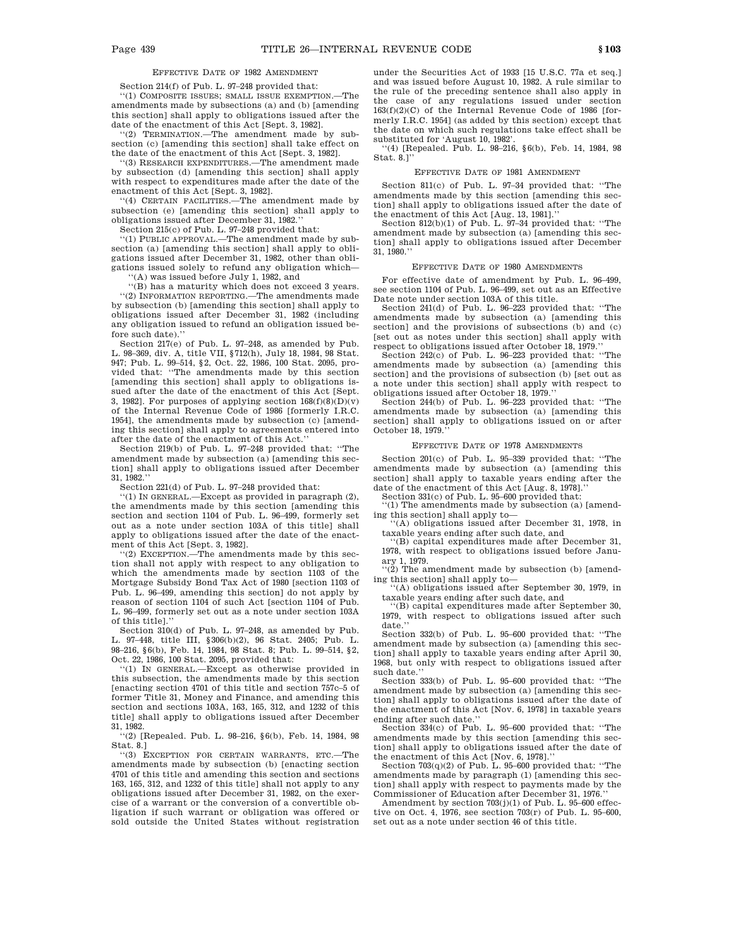# EFFECTIVE DATE OF 1982 AMENDMENT

Section 214(f) of Pub. L. 97–248 provided that:

''(1) COMPOSITE ISSUES; SMALL ISSUE EXEMPTION.—The amendments made by subsections (a) and (b) [amending this section] shall apply to obligations issued after the date of the enactment of this Act [Sept. 3, 1982].

''(2) TERMINATION.—The amendment made by subsection (c) [amending this section] shall take effect on the date of the enactment of this Act [Sept. 3, 1982].

''(3) RESEARCH EXPENDITURES.—The amendment made by subsection (d) [amending this section] shall apply with respect to expenditures made after the date of the

enactment of this Act [Sept. 3, 1982]. ''(4) CERTAIN FACILITIES.—The amendment made by subsection (e) [amending this section] shall apply to obligations issued after December 31, 1982.''

Section 215(c) of Pub. L. 97–248 provided that:

''(1) PUBLIC APPROVAL.—The amendment made by subsection (a) [amending this section] shall apply to obligations issued after December 31, 1982, other than obligations issued solely to refund any obligation which—

''(A) was issued before July 1, 1982, and

''(B) has a maturity which does not exceed 3 years. ''(2) INFORMATION REPORTING.—The amendments made by subsection (b) [amending this section] shall apply to obligations issued after December 31, 1982 (including any obligation issued to refund an obligation issued before such date).''

Section 217(e) of Pub. L. 97–248, as amended by Pub. L. 98–369, div. A, title VII, §712(h), July 18, 1984, 98 Stat. 947; Pub. L. 99–514, §2, Oct. 22, 1986, 100 Stat. 2095, provided that: ''The amendments made by this section [amending this section] shall apply to obligations issued after the date of the enactment of this Act [Sept. 3, 1982]. For purposes of applying section  $168(f)(8)(D)(v)$ of the Internal Revenue Code of 1986 [formerly I.R.C. 1954], the amendments made by subsection (c) [amending this section] shall apply to agreements entered into after the date of the enactment of this Act.

Section 219(b) of Pub. L. 97–248 provided that: ''The amendment made by subsection (a) [amending this section] shall apply to obligations issued after December 31, 1982.''

Section 221(d) of Pub. L. 97–248 provided that:

''(1) IN GENERAL.—Except as provided in paragraph (2), the amendments made by this section [amending this section and section 1104 of Pub. L. 96–499, formerly set out as a note under section 103A of this title] shall apply to obligations issued after the date of the enactment of this Act [Sept. 3, 1982].

''(2) EXCEPTION.—The amendments made by this section shall not apply with respect to any obligation to which the amendments made by section 1103 of the Mortgage Subsidy Bond Tax Act of 1980 [section 1103 of Pub. L. 96–499, amending this section] do not apply by reason of section 1104 of such Act [section 1104 of Pub. L. 96–499, formerly set out as a note under section 103A of this title].''

Section 310(d) of Pub. L. 97–248, as amended by Pub. L. 97–448, title III, §306(b)(2), 96 Stat. 2405; Pub. L. 98–216, §6(b), Feb. 14, 1984, 98 Stat. 8; Pub. L. 99–514, §2, Oct. 22, 1986, 100 Stat. 2095, provided that:

''(1) IN GENERAL.—Except as otherwise provided in this subsection, the amendments made by this section [enacting section 4701 of this title and section 757c–5 of former Title 31, Money and Finance, and amending this section and sections 103A, 163, 165, 312, and 1232 of this title] shall apply to obligations issued after December 31, 1982.

''(2) [Repealed. Pub. L. 98–216, §6(b), Feb. 14, 1984, 98 Stat. 8.]

''(3) EXCEPTION FOR CERTAIN WARRANTS, ETC.—The amendments made by subsection (b) [enacting section 4701 of this title and amending this section and sections 163, 165, 312, and 1232 of this title] shall not apply to any obligations issued after December 31, 1982, on the exercise of a warrant or the conversion of a convertible obligation if such warrant or obligation was offered or sold outside the United States without registration under the Securities Act of 1933 [15 U.S.C. 77a et seq.] and was issued before August 10, 1982. A rule similar to the rule of the preceding sentence shall also apply in the case of any regulations issued under section  $163(f)(2)(C)$  of the Internal Revenue Code of 1986 [formerly I.R.C. 1954] (as added by this section) except that the date on which such regulations take effect shall be substituted for 'August 10, 1982'.

''(4) [Repealed. Pub. L. 98–216, §6(b), Feb. 14, 1984, 98 Stat. 8.]''

#### EFFECTIVE DATE OF 1981 AMENDMENT

Section 811(c) of Pub. L. 97–34 provided that: ''The amendments made by this section [amending this section] shall apply to obligations issued after the date of the enactment of this Act [Aug. 13, 1981].''

Section 812(b)(1) of Pub. L. 97–34 provided that: ''The amendment made by subsection (a) [amending this section] shall apply to obligations issued after December 31, 1980.''

#### EFFECTIVE DATE OF 1980 AMENDMENTS

For effective date of amendment by Pub. L. 96–499, see section 1104 of Pub. L. 96–499, set out as an Effective Date note under section 103A of this title.

Section 241(d) of Pub. L. 96–223 provided that: ''The amendments made by subsection (a) [amending this section] and the provisions of subsections (b) and (c) [set out as notes under this section] shall apply with respect to obligations issued after October 18, 1979.

Section 242(c) of Pub. L. 96-223 provided that: "The amendments made by subsection (a) [amending this section] and the provisions of subsection (b) [set out as a note under this section] shall apply with respect to obligations issued after October 18, 1979.''

Section 244(b) of Pub. L. 96–223 provided that: ''The amendments made by subsection (a) [amending this section] shall apply to obligations issued on or after October 18, 1979.''

# EFFECTIVE DATE OF 1978 AMENDMENTS

Section 201(c) of Pub. L. 95–339 provided that: ''The amendments made by subsection (a) [amending this section] shall apply to taxable years ending after the date of the enactment of this Act [Aug. 8, 1978].'' Section 331(c) of Pub. L. 95–600 provided that:

''(1) The amendments made by subsection (a) [amending this section] shall apply to—

''(A) obligations issued after December 31, 1978, in taxable years ending after such date, and

''(B) capital expenditures made after December 31, 1978, with respect to obligations issued before January 1, 1979.

 $''(2)$  The amendment made by subsection (b) [amending this section] shall apply to—

''(A) obligations issued after September 30, 1979, in taxable years ending after such date, and

''(B) capital expenditures made after September 30, 1979, with respect to obligations issued after such date.

Section 332(b) of Pub. L. 95–600 provided that: ''The amendment made by subsection (a) [amending this section] shall apply to taxable years ending after April 30, 1968, but only with respect to obligations issued after such date.''

Section 333(b) of Pub. L. 95–600 provided that: ''The amendment made by subsection (a) [amending this section] shall apply to obligations issued after the date of the enactment of this Act [Nov. 6, 1978] in taxable years ending after such date.''

Section 334(c) of Pub. L. 95–600 provided that: ''The amendments made by this section [amending this section] shall apply to obligations issued after the date of the enactment of this Act [Nov. 6, 1978].''

Section  $703(q)(2)$  of Pub. L. 95–600 provided that: ''The amendments made by paragraph (1) [amending this section] shall apply with respect to payments made by the Commissioner of Education after December 31, 1976.

Amendment by section  $703(j)(1)$  of Pub. L.  $95-600$  effective on Oct. 4, 1976, see section 703(r) of Pub. L. 95–600, set out as a note under section 46 of this title.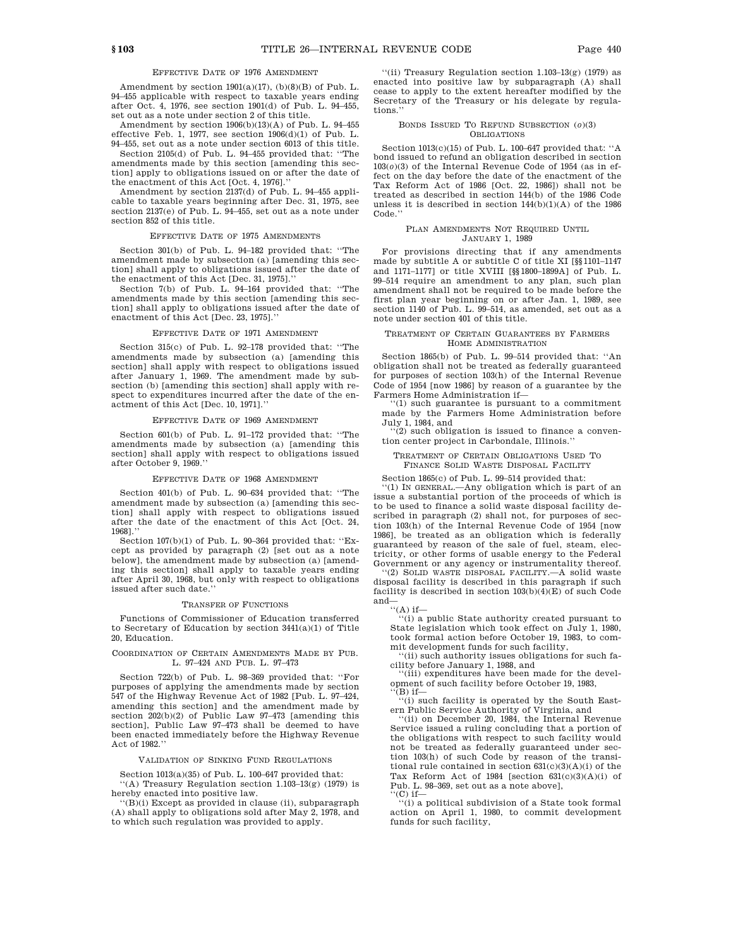# EFFECTIVE DATE OF 1976 AMENDMENT

Amendment by section  $1901(a)(17)$ ,  $(b)(8)(B)$  of Pub. L. 94–455 applicable with respect to taxable years ending after Oct. 4, 1976, see section 1901(d) of Pub. L. 94–455, set out as a note under section 2 of this title.

Amendment by section 1906(b)(13)(A) of Pub. L. 94–455 effective Feb. 1, 1977, see section  $1906(d)(1)$  of Pub. L.

94–455, set out as a note under section 6013 of this title. Section 2105(d) of Pub. L. 94–455 provided that: ''The amendments made by this section [amending this section] apply to obligations issued on or after the date of the enactment of this Act [Oct. 4, 1976].''

Amendment by section 2137(d) of Pub. L. 94–455 applicable to taxable years beginning after Dec. 31, 1975, see section 2137(e) of Pub. L. 94–455, set out as a note under section 852 of this title.

# EFFECTIVE DATE OF 1975 AMENDMENTS

Section 301(b) of Pub. L. 94–182 provided that: ''The amendment made by subsection (a) [amending this section] shall apply to obligations issued after the date of the enactment of this Act [Dec. 31, 1975].''

Section 7(b) of Pub. L. 94–164 provided that: ''The amendments made by this section [amending this section] shall apply to obligations issued after the date of enactment of this Act [Dec. 23, 1975].''

# EFFECTIVE DATE OF 1971 AMENDMENT

Section 315(c) of Pub. L. 92–178 provided that: ''The amendments made by subsection (a) [amending this section] shall apply with respect to obligations issued after January 1, 1969. The amendment made by subsection (b) [amending this section] shall apply with respect to expenditures incurred after the date of the enactment of this Act [Dec. 10, 1971].''

# EFFECTIVE DATE OF 1969 AMENDMENT

Section 601(b) of Pub. L. 91–172 provided that: ''The amendments made by subsection (a) [amending this section] shall apply with respect to obligations issued after October 9, 1969.''

#### EFFECTIVE DATE OF 1968 AMENDMENT

Section 401(b) of Pub. L. 90–634 provided that: ''The amendment made by subsection (a) [amending this section] shall apply with respect to obligations issued after the date of the enactment of this Act [Oct. 24, 1968].''

Section 107(b)(1) of Pub. L. 90–364 provided that: ''Except as provided by paragraph (2) [set out as a note below], the amendment made by subsection (a) [amending this section] shall apply to taxable years ending after April 30, 1968, but only with respect to obligations issued after such date.''

### TRANSFER OF FUNCTIONS

Functions of Commissioner of Education transferred to Secretary of Education by section 3441(a)(1) of Title 20, Education.

### COORDINATION OF CERTAIN AMENDMENTS MADE BY PUB. L. 97–424 AND PUB. L. 97–473

Section 722(b) of Pub. L. 98–369 provided that: ''For purposes of applying the amendments made by section 547 of the Highway Revenue Act of 1982 [Pub. L. 97–424, amending this section] and the amendment made by section 202(b)(2) of Public Law 97–473 [amending this section], Public Law 97–473 shall be deemed to have been enacted immediately before the Highway Revenue Act of 1982.''

VALIDATION OF SINKING FUND REGULATIONS

Section 1013(a)(35) of Pub. L. 100–647 provided that: '(A) Treasury Regulation section  $1.103-13(g)$  (1979) is hereby enacted into positive law.

 $\lq(\mathbf{B})(\mathbf{i})$  Except as provided in clause (ii), subparagraph (A) shall apply to obligations sold after May 2, 1978, and to which such regulation was provided to apply.

''(ii) Treasury Regulation section 1.103–13(g) (1979) as enacted into positive law by subparagraph (A) shall cease to apply to the extent hereafter modified by the Secretary of the Treasury or his delegate by regulations.''

#### BONDS ISSUED TO REFUND SUBSECTION (*o*)(3) OBLIGATIONS

Section 1013(c)(15) of Pub. L. 100–647 provided that: ''A bond issued to refund an obligation described in section  $103(0)(3)$  of the Internal Revenue Code of 1954 (as in effect on the day before the date of the enactment of the Tax Reform Act of 1986 [Oct. 22, 1986]) shall not be treated as described in section 144(b) of the 1986 Code unless it is described in section  $144(b)(1)(A)$  of the 1986 Code.''

#### PLAN AMENDMENTS NOT REQUIRED UNTIL JANUARY 1, 1989

For provisions directing that if any amendments made by subtitle A or subtitle C of title XI [§§1101–1147 and 1171–1177] or title XVIII [§§1800–1899A] of Pub. L. 99–514 require an amendment to any plan, such plan amendment shall not be required to be made before the first plan year beginning on or after Jan. 1, 1989, see section 1140 of Pub. L. 99–514, as amended, set out as a note under section 401 of this title.

# TREATMENT OF CERTAIN GUARANTEES BY FARMERS HOME ADMINISTRATION

Section 1865(b) of Pub. L. 99–514 provided that: ''An obligation shall not be treated as federally guaranteed for purposes of section 103(h) of the Internal Revenue Code of 1954 [now 1986] by reason of a guarantee by the Farmers Home Administration if—

 $(1)$  such guarantee is pursuant to a commitment made by the Farmers Home Administration before July 1, 1984, and

''(2) such obligation is issued to finance a convention center project in Carbondale, Illinois.

# TREATMENT OF CERTAIN OBLIGATIONS USED TO FINANCE SOLID WASTE DISPOSAL FACILITY

Section 1865(c) of Pub. L. 99–514 provided that:

''(1) IN GENERAL.—Any obligation which is part of an issue a substantial portion of the proceeds of which is to be used to finance a solid waste disposal facility described in paragraph (2) shall not, for purposes of section 103(h) of the Internal Revenue Code of 1954 [now 1986], be treated as an obligation which is federally guaranteed by reason of the sale of fuel, steam, electricity, or other forms of usable energy to the Federal Government or any agency or instrumentality thereof.

''(2) SOLID WASTE DISPOSAL FACILITY.—A solid waste disposal facility is described in this paragraph if such facility is described in section  $103(b)(4)(E)$  of such Code and—

 $``$ (A) if—

''(i) a public State authority created pursuant to State legislation which took effect on July 1, 1980, took formal action before October 19, 1983, to commit development funds for such facility,

''(ii) such authority issues obligations for such facility before January 1, 1988, and

''(iii) expenditures have been made for the development of such facility before October 19, 1983,  $'(B)$  if—

''(i) such facility is operated by the South Eastern Public Service Authority of Virginia, and

''(ii) on December 20, 1984, the Internal Revenue Service issued a ruling concluding that a portion of the obligations with respect to such facility would not be treated as federally guaranteed under section 103(h) of such Code by reason of the transitional rule contained in section 631(c)(3)(A)(i) of the Tax Reform Act of 1984 [section  $631(c)(3)(A)(i)$  of Pub. L. 98–369, set out as a note above],

 $``$ (C) if—

''(i) a political subdivision of a State took formal action on April 1, 1980, to commit development funds for such facility,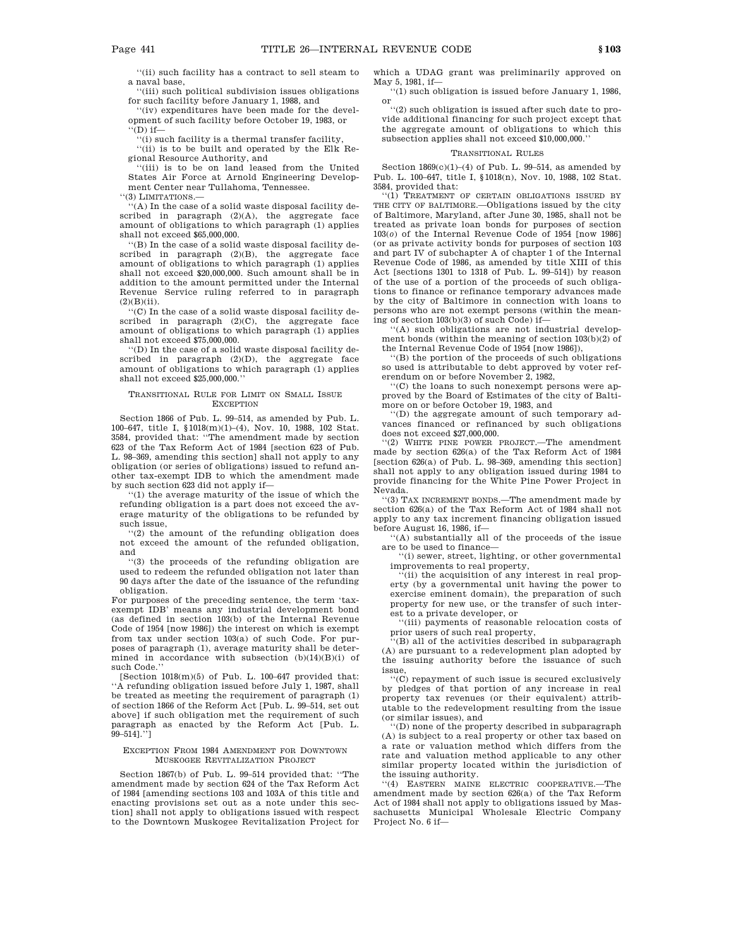''(ii) such facility has a contract to sell steam to a naval base,

''(iii) such political subdivision issues obligations for such facility before January 1, 1988, and

''(iv) expenditures have been made for the development of such facility before October 19, 1983, or

 $\cdots$ (D) if—

''(i) such facility is a thermal transfer facility, ''(ii) is to be built and operated by the Elk Regional Resource Authority, and

''(iii) is to be on land leased from the United States Air Force at Arnold Engineering Development Center near Tullahoma, Tennessee.

''(3) LIMITATIONS.—

''(A) In the case of a solid waste disposal facility described in paragraph (2)(A), the aggregate face amount of obligations to which paragraph (1) applies shall not exceed \$65,000,000.

''(B) In the case of a solid waste disposal facility described in paragraph (2)(B), the aggregate face amount of obligations to which paragraph (1) applies shall not exceed \$20,000,000. Such amount shall be in addition to the amount permitted under the Internal Revenue Service ruling referred to in paragraph  $(2)(B)(ii)$ .

''(C) In the case of a solid waste disposal facility described in paragraph (2)(C), the aggregate face amount of obligations to which paragraph (1) applies shall not exceed \$75,000,000.

''(D) In the case of a solid waste disposal facility described in paragraph (2)(D), the aggregate face amount of obligations to which paragraph (1) applies shall not exceed \$25,000,000.''

# TRANSITIONAL RULE FOR LIMIT ON SMALL ISSUE **EXCEPTION**

Section 1866 of Pub. L. 99–514, as amended by Pub. L. 100–647, title I, §1018(m)(1)–(4), Nov. 10, 1988, 102 Stat. 3584, provided that: ''The amendment made by section 623 of the Tax Reform Act of 1984 [section 623 of Pub. L. 98–369, amending this section] shall not apply to any obligation (or series of obligations) issued to refund another tax-exempt IDB to which the amendment made by such section 623 did not apply if—

''(1) the average maturity of the issue of which the refunding obligation is a part does not exceed the average maturity of the obligations to be refunded by such issue,

''(2) the amount of the refunding obligation does not exceed the amount of the refunded obligation, and

''(3) the proceeds of the refunding obligation are used to redeem the refunded obligation not later than 90 days after the date of the issuance of the refunding obligation.

For purposes of the preceding sentence, the term 'taxexempt IDB' means any industrial development bond (as defined in section 103(b) of the Internal Revenue Code of 1954 [now 1986]) the interest on which is exempt from tax under section 103(a) of such Code. For purposes of paragraph (1), average maturity shall be determined in accordance with subsection  $(b)(14)(B)(i)$  of such Code.

[Section 1018(m)(5) of Pub. L. 100–647 provided that: ''A refunding obligation issued before July 1, 1987, shall be treated as meeting the requirement of paragraph (1) of section 1866 of the Reform Act [Pub. L. 99–514, set out above] if such obligation met the requirement of such paragraph as enacted by the Reform Act [Pub. L. 99–514].'']

### EXCEPTION FROM 1984 AMENDMENT FOR DOWNTOWN MUSKOGEE REVITALIZATION PROJECT

Section 1867(b) of Pub. L. 99–514 provided that: ''The amendment made by section 624 of the Tax Reform Act of 1984 [amending sections 103 and 103A of this title and enacting provisions set out as a note under this section] shall not apply to obligations issued with respect to the Downtown Muskogee Revitalization Project for

which a UDAG grant was preliminarily approved on May 5, 1981, if—

''(1) such obligation is issued before January 1, 1986, or

''(2) such obligation is issued after such date to provide additional financing for such project except that the aggregate amount of obligations to which this subsection applies shall not exceed \$10,000,000.''

#### TRANSITIONAL RULES

Section  $1869(c)(1)–(4)$  of Pub. L. 99–514, as amended by Pub. L. 100–647, title I, §1018(n), Nov. 10, 1988, 102 Stat. 3584, provided that:

''(1) TREATMENT OF CERTAIN OBLIGATIONS ISSUED BY THE CITY OF BALTIMORE.—Obligations issued by the city of Baltimore, Maryland, after June 30, 1985, shall not be treated as private loan bonds for purposes of section 103(*o*) of the Internal Revenue Code of 1954 [now 1986] (or as private activity bonds for purposes of section 103 and part IV of subchapter A of chapter 1 of the Internal Revenue Code of 1986, as amended by title XIII of this Act [sections 1301 to 1318 of Pub. L. 99–514]) by reason of the use of a portion of the proceeds of such obligations to finance or refinance temporary advances made by the city of Baltimore in connection with loans to persons who are not exempt persons (within the meaning of section 103(b)(3) of such Code) if—

''(A) such obligations are not industrial development bonds (within the meaning of section 103(b)(2) of the Internal Revenue Code of 1954 [now 1986]),

''(B) the portion of the proceeds of such obligations so used is attributable to debt approved by voter referendum on or before November 2, 1982,

''(C) the loans to such nonexempt persons were approved by the Board of Estimates of the city of Baltimore on or before October 19, 1983, and

''(D) the aggregate amount of such temporary advances financed or refinanced by such obligations does not exceed \$27,000,000.

'(2) WHITE PINE POWER PROJECT.—The amendment made by section 626(a) of the Tax Reform Act of 1984 [section 626(a) of Pub. L. 98–369, amending this section] shall not apply to any obligation issued during 1984 to provide financing for the White Pine Power Project in Nevada.

''(3) TAX INCREMENT BONDS.—The amendment made by section 626(a) of the Tax Reform Act of 1984 shall not apply to any tax increment financing obligation issued before August 16, 1986, if—

''(A) substantially all of the proceeds of the issue are to be used to finance-

''(i) sewer, street, lighting, or other governmental improvements to real property,

''(ii) the acquisition of any interest in real property (by a governmental unit having the power to exercise eminent domain), the preparation of such property for new use, or the transfer of such interest to a private developer, or

''(iii) payments of reasonable relocation costs of prior users of such real property,

''(B) all of the activities described in subparagraph (A) are pursuant to a redevelopment plan adopted by the issuing authority before the issuance of such issue,

 $C$ ) repayment of such issue is secured exclusively by pledges of that portion of any increase in real property tax revenues (or their equivalent) attributable to the redevelopment resulting from the issue (or similar issues), and

''(D) none of the property described in subparagraph (A) is subject to a real property or other tax based on a rate or valuation method which differs from the rate and valuation method applicable to any other similar property located within the jurisdiction of the issuing authority.

''(4) EASTERN MAINE ELECTRIC COOPERATIVE.—The amendment made by section 626(a) of the Tax Reform Act of 1984 shall not apply to obligations issued by Massachusetts Municipal Wholesale Electric Company Project No. 6 if—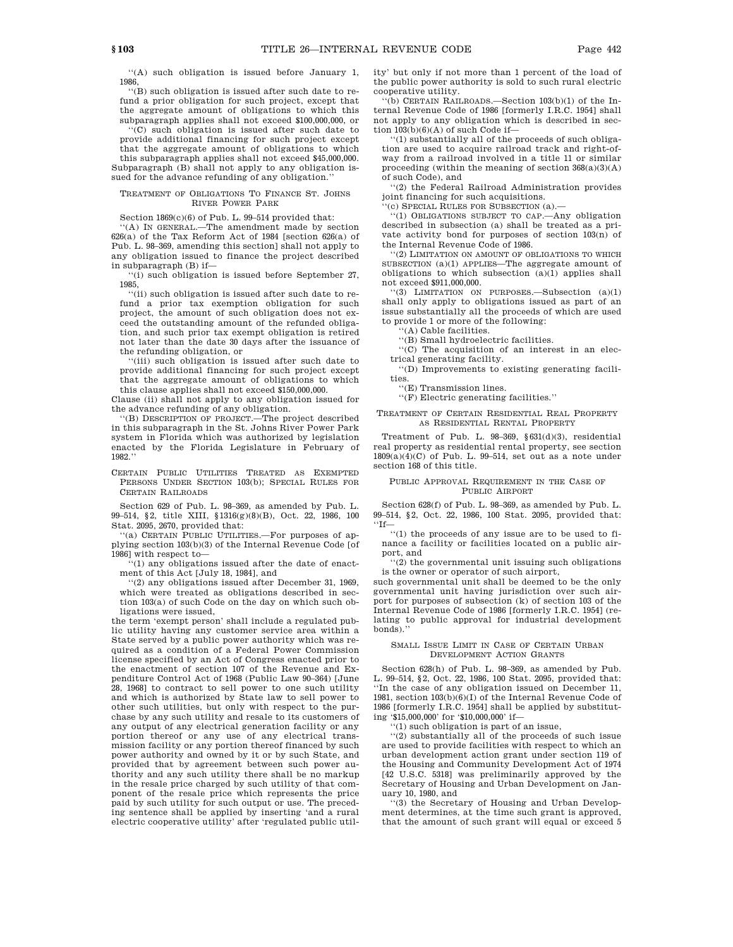''(A) such obligation is issued before January 1, 1986,

''(B) such obligation is issued after such date to refund a prior obligation for such project, except that the aggregate amount of obligations to which this subparagraph applies shall not exceed \$100,000,000, or

''(C) such obligation is issued after such date to provide additional financing for such project except that the aggregate amount of obligations to which this subparagraph applies shall not exceed \$45,000,000. Subparagraph (B) shall not apply to any obligation issued for the advance refunding of any obligation.'

# TREATMENT OF OBLIGATIONS TO FINANCE ST. JOHNS RIVER POWER PARK

Section 1869(c)(6) of Pub. L. 99–514 provided that:

'(A) IN GENERAL.—The amendment made by section 626(a) of the Tax Reform Act of 1984 [section 626(a) of Pub. L. 98–369, amending this section] shall not apply to any obligation issued to finance the project described in subparagraph (B) if—

''(i) such obligation is issued before September 27, 1985,

''(ii) such obligation is issued after such date to refund a prior tax exemption obligation for such project, the amount of such obligation does not exceed the outstanding amount of the refunded obligation, and such prior tax exempt obligation is retired not later than the date 30 days after the issuance of the refunding obligation, or

''(iii) such obligation is issued after such date to provide additional financing for such project except that the aggregate amount of obligations to which this clause applies shall not exceed \$150,000,000.

Clause (ii) shall not apply to any obligation issued for the advance refunding of any obligation.

''(B) DESCRIPTION OF PROJECT.—The project described in this subparagraph in the St. Johns River Power Park system in Florida which was authorized by legislation enacted by the Florida Legislature in February of 1982.''

CERTAIN PUBLIC UTILITIES TREATED AS EXEMPTED PERSONS UNDER SECTION 103(b); SPECIAL RULES FOR CERTAIN RAILROADS

Section 629 of Pub. L. 98–369, as amended by Pub. L. 99–514, §2, title XIII, §1316(g)(8)(B), Oct. 22, 1986, 100 Stat. 2095, 2670, provided that:

''(a) CERTAIN PUBLIC UTILITIES.—For purposes of applying section 103(b)(3) of the Internal Revenue Code [of 1986] with respect to—

''(1) any obligations issued after the date of enactment of this Act [July 18, 1984], and

''(2) any obligations issued after December 31, 1969, which were treated as obligations described in section 103(a) of such Code on the day on which such obligations were issued,

the term 'exempt person' shall include a regulated public utility having any customer service area within a State served by a public power authority which was required as a condition of a Federal Power Commission license specified by an Act of Congress enacted prior to the enactment of section 107 of the Revenue and Expenditure Control Act of 1968 (Public Law 90–364) [June 28, 1968] to contract to sell power to one such utility and which is authorized by State law to sell power to other such utilities, but only with respect to the purchase by any such utility and resale to its customers of any output of any electrical generation facility or any portion thereof or any use of any electrical transmission facility or any portion thereof financed by such power authority and owned by it or by such State, and provided that by agreement between such power authority and any such utility there shall be no markup in the resale price charged by such utility of that component of the resale price which represents the price paid by such utility for such output or use. The preceding sentence shall be applied by inserting 'and a rural electric cooperative utility' after 'regulated public utility' but only if not more than 1 percent of the load of the public power authority is sold to such rural electric cooperative utility.

''(b) CERTAIN RAILROADS.—Section 103(b)(1) of the Internal Revenue Code of 1986 [formerly I.R.C. 1954] shall not apply to any obligation which is described in section  $103(b)(6)(A)$  of such Code if—

''(1) substantially all of the proceeds of such obligation are used to acquire railroad track and right-ofway from a railroad involved in a title 11 or similar proceeding (within the meaning of section  $368(a)(3)(A)$ of such Code), and

''(2) the Federal Railroad Administration provides joint financing for such acquisitions.

'(c) SPECIAL RULES FOR SUBSECTION (a).

''(1) OBLIGATIONS SUBJECT TO CAP.—Any obligation described in subsection (a) shall be treated as a private activity bond for purposes of section 103(n) of the Internal Revenue Code of 1986.

''(2) LIMITATION ON AMOUNT OF OBLIGATIONS TO WHICH SUBSECTION (a)(1) APPLIES—The aggregate amount of obligations to which subsection (a)(1) applies shall not exceed \$911,000,000.

''(3) LIMITATION ON PURPOSES.—Subsection (a)(1) shall only apply to obligations issued as part of an issue substantially all the proceeds of which are used to provide 1 or more of the following:

''(A) Cable facilities.

''(B) Small hydroelectric facilities.

''(C) The acquisition of an interest in an electrical generating facility.

''(D) Improvements to existing generating facilities.

 $\lq\lq ({\rm E})$  Transmission lines.

''(F) Electric generating facilities.''

TREATMENT OF CERTAIN RESIDENTIAL REAL PROPERTY AS RESIDENTIAL RENTAL PROPERTY

Treatment of Pub. L. 98–369, §631(d)(3), residential real property as residential rental property, see section 1809(a)(4)(C) of Pub. L. 99–514, set out as a note under section 168 of this title.

# PUBLIC APPROVAL REQUIREMENT IN THE CASE OF PUBLIC AIRPORT

Section 628(f) of Pub. L. 98–369, as amended by Pub. L. 99–514, §2, Oct. 22, 1986, 100 Stat. 2095, provided that: ''If—

''(1) the proceeds of any issue are to be used to finance a facility or facilities located on a public airport, and

''(2) the governmental unit issuing such obligations is the owner or operator of such airport,

such governmental unit shall be deemed to be the only governmental unit having jurisdiction over such airport for purposes of subsection (k) of section 103 of the Internal Revenue Code of 1986 [formerly I.R.C. 1954] (relating to public approval for industrial development bonds).''

### SMALL ISSUE LIMIT IN CASE OF CERTAIN URBAN DEVELOPMENT ACTION GRANTS

Section 628(h) of Pub. L. 98–369, as amended by Pub. L. 99–514, §2, Oct. 22, 1986, 100 Stat. 2095, provided that: ''In the case of any obligation issued on December 11, 1981, section 103(b)(6)(I) of the Internal Revenue Code of 1986 [formerly I.R.C. 1954] shall be applied by substituting '\$15,000,000' for '\$10,000,000' if—

 $(1)$  such obligation is part of an issue,

''(2) substantially all of the proceeds of such issue are used to provide facilities with respect to which an urban development action grant under section 119 of the Housing and Community Development Act of 1974 [42 U.S.C. 5318] was preliminarily approved by the Secretary of Housing and Urban Development on January 10, 1980, and

''(3) the Secretary of Housing and Urban Development determines, at the time such grant is approved, that the amount of such grant will equal or exceed 5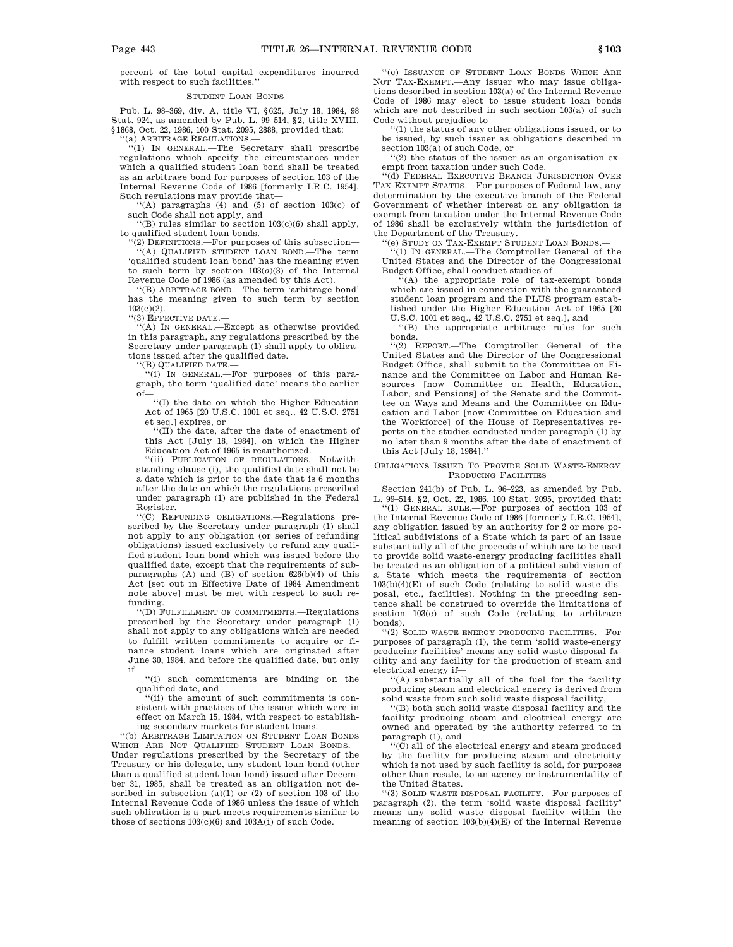percent of the total capital expenditures incurred with respect to such facilities.''

# STUDENT LOAN BONDS

Pub. L. 98–369, div. A, title VI, §625, July 18, 1984, 98 Stat. 924, as amended by Pub. L. 99–514, §2, title XVIII, §1868, Oct. 22, 1986, 100 Stat. 2095, 2888, provided that:

'(a) ARBITRAGE REGULATIONS.-

''(1) IN GENERAL.—The Secretary shall prescribe regulations which specify the circumstances under which a qualified student loan bond shall be treated as an arbitrage bond for purposes of section 103 of the Internal Revenue Code of 1986 [formerly I.R.C. 1954]. Such regulations may provide that—

''(A) paragraphs (4) and (5) of section 103(c) of such Code shall not apply, and

''(B) rules similar to section 103(c)(6) shall apply, to qualified student loan bonds.

''(2) DEFINITIONS.—For purposes of this subsection— ''(A) QUALIFIED STUDENT LOAN BOND.—The term 'qualified student loan bond' has the meaning given to such term by section  $103(0)(3)$  of the Internal Revenue Code of 1986 (as amended by this Act).

''(B) ARBITRAGE BOND.—The term 'arbitrage bond' has the meaning given to such term by section 103(c)(2).

''(3) EFFECTIVE DATE.—

''(A) IN GENERAL.—Except as otherwise provided in this paragraph, any regulations prescribed by the Secretary under paragraph (1) shall apply to obligations issued after the qualified date.

''(B) QUALIFIED DATE.—

''(i) IN GENERAL.—For purposes of this paragraph, the term 'qualified date' means the earlier of—

''(I) the date on which the Higher Education Act of 1965 [20 U.S.C. 1001 et seq., 42 U.S.C. 2751 et seq.] expires, or

''(II) the date, after the date of enactment of this Act [July 18, 1984], on which the Higher Education Act of 1965 is reauthorized.

''(ii) PUBLICATION OF REGULATIONS.—Notwithstanding clause (i), the qualified date shall not be a date which is prior to the date that is 6 months after the date on which the regulations prescribed under paragraph (1) are published in the Federal Register.

''(C) REFUNDING OBLIGATIONS.—Regulations prescribed by the Secretary under paragraph (1) shall not apply to any obligation (or series of refunding obligations) issued exclusively to refund any qualified student loan bond which was issued before the qualified date, except that the requirements of subparagraphs (A) and (B) of section 626(b)(4) of this Act [set out in Effective Date of 1984 Amendment note above] must be met with respect to such refunding.

'(D) FULFILLMENT OF COMMITMENTS.—Regulations prescribed by the Secretary under paragraph (1) shall not apply to any obligations which are needed to fulfill written commitments to acquire or finance student loans which are originated after June 30, 1984, and before the qualified date, but only if—

''(i) such commitments are binding on the qualified date, and

''(ii) the amount of such commitments is consistent with practices of the issuer which were in effect on March 15, 1984, with respect to establishing secondary markets for student loans.

''(b) ARBITRAGE LIMITATION ON STUDENT LOAN BONDS WHICH ARE NOT QUALIFIED STUDENT LOAN BONDS. Under regulations prescribed by the Secretary of the Treasury or his delegate, any student loan bond (other than a qualified student loan bond) issued after December 31, 1985, shall be treated as an obligation not described in subsection (a)(1) or (2) of section 103 of the Internal Revenue Code of 1986 unless the issue of which such obligation is a part meets requirements similar to those of sections 103(c)(6) and 103A(i) of such Code.

''(c) ISSUANCE OF STUDENT LOAN BONDS WHICH ARE NOT TAX-EXEMPT.—Any issuer who may issue obligations described in section 103(a) of the Internal Revenue Code of 1986 may elect to issue student loan bonds which are not described in such section 103(a) of such Code without prejudice to—

''(1) the status of any other obligations issued, or to be issued, by such issuer as obligations described in section 103(a) of such Code, or

''(2) the status of the issuer as an organization exempt from taxation under such Code.

''(d) FEDERAL EXECUTIVE BRANCH JURISDICTION OVER TAX-EXEMPT STATUS.—For purposes of Federal law, any determination by the executive branch of the Federal Government of whether interest on any obligation is exempt from taxation under the Internal Revenue Code of 1986 shall be exclusively within the jurisdiction of the Department of the Treasury.

'(e) STUDY ON TAX-EXEMPT STUDENT LOAN BONDS.

''(1) IN GENERAL.—The Comptroller General of the United States and the Director of the Congressional Budget Office, shall conduct studies of—

''(A) the appropriate role of tax-exempt bonds which are issued in connection with the guaranteed student loan program and the PLUS program established under the Higher Education Act of 1965 [20 U.S.C. 1001 et seq., 42 U.S.C. 2751 et seq.], and

''(B) the appropriate arbitrage rules for such bonds.

''(2) REPORT.—The Comptroller General of the United States and the Director of the Congressional Budget Office, shall submit to the Committee on Finance and the Committee on Labor and Human Resources [now Committee on Health, Education, Labor, and Pensions] of the Senate and the Committee on Ways and Means and the Committee on Education and Labor [now Committee on Education and the Workforce] of the House of Representatives reports on the studies conducted under paragraph (1) by no later than 9 months after the date of enactment of this Act [July 18, 1984].''

### OBLIGATIONS ISSUED TO PROVIDE SOLID WASTE-ENERGY PRODUCING FACILITIES

Section 241(b) of Pub. L. 96–223, as amended by Pub. L. 99–514, §2, Oct. 22, 1986, 100 Stat. 2095, provided that:

''(1) GENERAL RULE.—For purposes of section 103 of the Internal Revenue Code of 1986 [formerly I.R.C. 1954], any obligation issued by an authority for 2 or more political subdivisions of a State which is part of an issue substantially all of the proceeds of which are to be used to provide solid waste-energy producing facilities shall be treated as an obligation of a political subdivision of a State which meets the requirements of section  $103(b)(4)(E)$  of such Code (relating to solid waste disposal, etc., facilities). Nothing in the preceding sentence shall be construed to override the limitations of section 103(c) of such Code (relating to arbitrage bonds).

''(2) SOLID WASTE-ENERGY PRODUCING FACILITIES.—For purposes of paragraph (1), the term 'solid waste-energy producing facilities' means any solid waste disposal facility and any facility for the production of steam and electrical energy if—

''(A) substantially all of the fuel for the facility producing steam and electrical energy is derived from solid waste from such solid waste disposal facility,

 $^{\circ}\text{(B)}$  both such solid waste disposal facility and the facility producing steam and electrical energy are owned and operated by the authority referred to in paragraph (1), and

''(C) all of the electrical energy and steam produced by the facility for producing steam and electricity which is not used by such facility is sold, for purposes other than resale, to an agency or instrumentality of the United States.

''(3) SOLID WASTE DISPOSAL FACILITY.—For purposes of paragraph (2), the term 'solid waste disposal facility' means any solid waste disposal facility within the meaning of section 103(b)(4)(E) of the Internal Revenue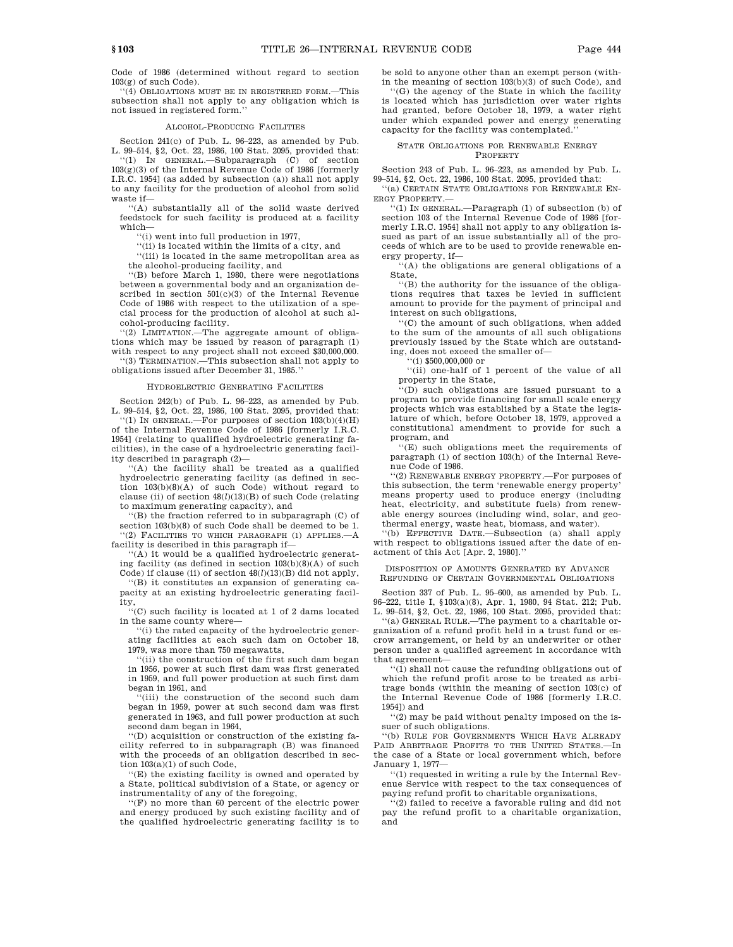Code of 1986 (determined without regard to section 103(g) of such Code).

''(4) OBLIGATIONS MUST BE IN REGISTERED FORM.—This subsection shall not apply to any obligation which is not issued in registered form.''

#### ALCOHOL-PRODUCING FACILITIES

Section 241(c) of Pub. L. 96–223, as amended by Pub. L. 99–514, §2, Oct. 22, 1986, 100 Stat. 2095, provided that: ''(1) IN GENERAL.—Subparagraph (C) of section 103(g)(3) of the Internal Revenue Code of 1986 [formerly

I.R.C. 1954] (as added by subsection (a)) shall not apply to any facility for the production of alcohol from solid waste if— ''(A) substantially all of the solid waste derived

feedstock for such facility is produced at a facility which—

''(i) went into full production in 1977,

''(ii) is located within the limits of a city, and

''(iii) is located in the same metropolitan area as the alcohol-producing facility, and

''(B) before March 1, 1980, there were negotiations between a governmental body and an organization described in section  $501(c)(3)$  of the Internal Revenue Code of 1986 with respect to the utilization of a special process for the production of alcohol at such alcohol-producing facility.

''(2) LIMITATION.—The aggregate amount of obligations which may be issued by reason of paragraph (1) with respect to any project shall not exceed \$30,000,000.

''(3) TERMINATION.—This subsection shall not apply to obligations issued after December 31, 1985.''

### HYDROELECTRIC GENERATING FACILITIES

Section 242(b) of Pub. L. 96–223, as amended by Pub. L. 99–514, §2, Oct. 22, 1986, 100 Stat. 2095, provided that: ''(1) IN GENERAL.—For purposes of section 103(b)(4)(H) of the Internal Revenue Code of 1986 [formerly I.R.C. 1954] (relating to qualified hydroelectric generating facilities), in the case of a hydroelectric generating facility described in paragraph (2)—

'(A) the facility shall be treated as a qualified hydroelectric generating facility (as defined in section 103(b)(8)(A) of such Code) without regard to clause (ii) of section 48(*l*)(13)(B) of such Code (relating to maximum generating capacity), and

''(B) the fraction referred to in subparagraph (C) of section  $103(b)(8)$  of such Code shall be deemed to be 1. ''(2) FACILITIES TO WHICH PARAGRAPH (1) APPLIES.—A facility is described in this paragraph if—

''(A) it would be a qualified hydroelectric generating facility (as defined in section  $103(b)(8)(A)$  of such

Code) if clause (ii) of section 48(*l*)(13)(B) did not apply, ''(B) it constitutes an expansion of generating ca-

pacity at an existing hydroelectric generating facility,

''(C) such facility is located at 1 of 2 dams located in the same county where—

''(i) the rated capacity of the hydroelectric generating facilities at each such dam on October 18, 1979, was more than 750 megawatts,

''(ii) the construction of the first such dam began in 1956, power at such first dam was first generated in 1959, and full power production at such first dam began in 1961, and

''(iii) the construction of the second such dam began in 1959, power at such second dam was first generated in 1963, and full power production at such second dam began in 1964,

''(D) acquisition or construction of the existing facility referred to in subparagraph (B) was financed with the proceeds of an obligation described in section 103(a)(1) of such Code,

''(E) the existing facility is owned and operated by a State, political subdivision of a State, or agency or instrumentality of any of the foregoing,

''(F) no more than 60 percent of the electric power and energy produced by such existing facility and of the qualified hydroelectric generating facility is to be sold to anyone other than an exempt person (within the meaning of section 103(b)(3) of such Code), and

''(G) the agency of the State in which the facility is located which has jurisdiction over water rights had granted, before October 18, 1979, a water right under which expanded power and energy generating capacity for the facility was contemplated.''

# STATE OBLIGATIONS FOR RENEWABLE ENERGY

**PROPERTY** 

Section 243 of Pub. L. 96–223, as amended by Pub. L. 99–514, §2, Oct. 22, 1986, 100 Stat. 2095, provided that:

''(a) CERTAIN STATE OBLIGATIONS FOR RENEWABLE EN-ERGY PROPERTY.—

''(1) IN GENERAL.—Paragraph (1) of subsection (b) of section 103 of the Internal Revenue Code of 1986 [formerly I.R.C. 1954] shall not apply to any obligation issued as part of an issue substantially all of the proceeds of which are to be used to provide renewable energy property, if—

 $(A)$  the obligations are general obligations of a State,

''(B) the authority for the issuance of the obligations requires that taxes be levied in sufficient amount to provide for the payment of principal and interest on such obligations,

''(C) the amount of such obligations, when added to the sum of the amounts of all such obligations previously issued by the State which are outstanding, does not exceed the smaller of—

''(i) \$500,000,000 or

''(ii) one-half of 1 percent of the value of all property in the State,

''(D) such obligations are issued pursuant to a program to provide financing for small scale energy projects which was established by a State the legislature of which, before October 18, 1979, approved a constitutional amendment to provide for such a program, and

''(E) such obligations meet the requirements of paragraph (1) of section 103(h) of the Internal Revenue Code of 1986.

''(2) RENEWABLE ENERGY PROPERTY.—For purposes of this subsection, the term 'renewable energy property' means property used to produce energy (including heat, electricity, and substitute fuels) from renewable energy sources (including wind, solar, and geothermal energy, waste heat, biomass, and water).

''(b) EFFECTIVE DATE.—Subsection (a) shall apply with respect to obligations issued after the date of enactment of this Act [Apr. 2, 1980].''

DISPOSITION OF AMOUNTS GENERATED BY ADVANCE REFUNDING OF CERTAIN GOVERNMENTAL OBLIGATIONS

Section 337 of Pub. L. 95–600, as amended by Pub. L. 96–222, title I, §103(a)(8), Apr. 1, 1980, 94 Stat. 212; Pub. L. 99–514, §2, Oct. 22, 1986, 100 Stat. 2095, provided that:

''(a) GENERAL RULE.—The payment to a charitable organization of a refund profit held in a trust fund or escrow arrangement, or held by an underwriter or other person under a qualified agreement in accordance with that agreement—

''(1) shall not cause the refunding obligations out of which the refund profit arose to be treated as arbitrage bonds (within the meaning of section 103(c) of the Internal Revenue Code of 1986 [formerly I.R.C. 1954]) and

''(2) may be paid without penalty imposed on the issuer of such obligations.

''(b) RULE FOR GOVERNMENTS WHICH HAVE ALREADY PAID ARBITRAGE PROFITS TO THE UNITED STATES.—In the case of a State or local government which, before January 1, 1977—

''(1) requested in writing a rule by the Internal Revenue Service with respect to the tax consequences of paying refund profit to charitable organizations,

''(2) failed to receive a favorable ruling and did not pay the refund profit to a charitable organization, and